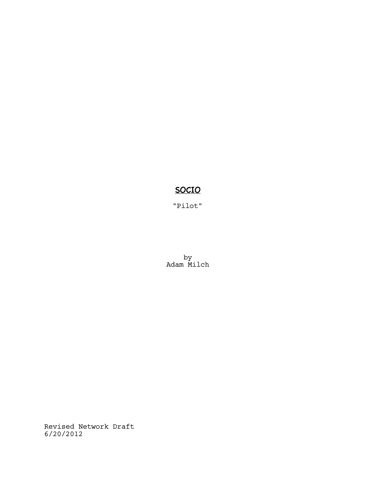# SOCIO

"Pilot"

by Adam Milch

Revised Network Draft 6/20/2012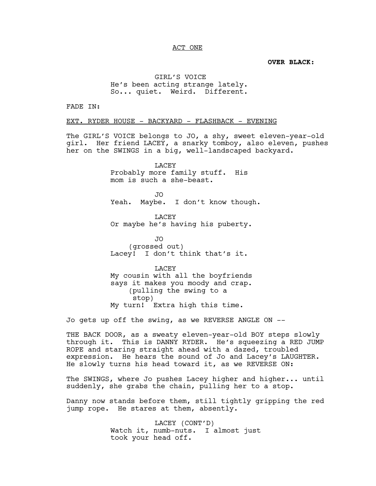## ACT ONE

**OVER BLACK:**

GIRL'S VOICE He's been acting strange lately. So... quiet. Weird. Different.

FADE IN:

EXT. RYDER HOUSE - BACKYARD - FLASHBACK - EVENING

The GIRL'S VOICE belongs to JO, a shy, sweet eleven-year-old girl. Her friend LACEY, a snarky tomboy, also eleven, pushes her on the SWINGS in a big, well-landscaped backyard.

> LACEY Probably more family stuff. His mom is such a she-beast.

JO Yeah. Maybe. I don't know though.

LACEY Or maybe he's having his puberty.

JO (grossed out) Lacey! I don't think that's it.

LACEY My cousin with all the boyfriends says it makes you moody and crap. (pulling the swing to a stop) My turn! Extra high this time.

Jo gets up off the swing, as we REVERSE ANGLE ON --

THE BACK DOOR, as a sweaty eleven-year-old BOY steps slowly through it. This is DANNY RYDER. He's squeezing a RED JUMP ROPE and staring straight ahead with a dazed, troubled expression. He hears the sound of Jo and Lacey's LAUGHTER. He slowly turns his head toward it, as we REVERSE ON:

The SWINGS, where Jo pushes Lacey higher and higher... until suddenly, she grabs the chain, pulling her to a stop.

Danny now stands before them, still tightly gripping the red jump rope. He stares at them, absently.

> LACEY (CONT'D) Watch it, numb-nuts. I almost just took your head off.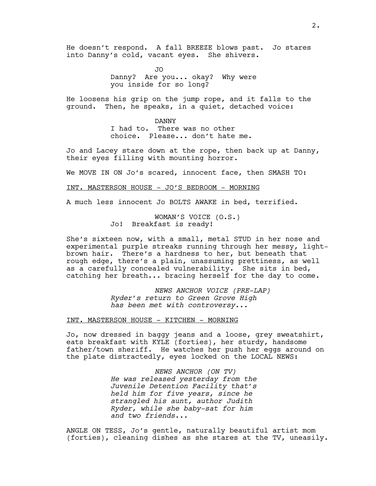He doesn't respond. A fall BREEZE blows past. Jo stares into Danny's cold, vacant eyes. She shivers.

> JO Danny? Are you... okay? Why were you inside for so long?

He loosens his grip on the jump rope, and it falls to the ground. Then, he speaks, in a quiet, detached voice:

> DANNY I had to. There was no other choice. Please... don't hate me.

Jo and Lacey stare down at the rope, then back up at Danny, their eyes filling with mounting horror.

We MOVE IN ON Jo's scared, innocent face, then SMASH TO:

## INT. MASTERSON HOUSE - JO'S BEDROOM - MORNING

A much less innocent Jo BOLTS AWAKE in bed, terrified.

WOMAN'S VOICE (O.S.) Jo! Breakfast is ready!

She's sixteen now, with a small, metal STUD in her nose and experimental purple streaks running through her messy, lightbrown hair. There's a hardness to her, but beneath that rough edge, there's a plain, unassuming prettiness, as well as a carefully concealed vulnerability. She sits in bed, catching her breath... bracing herself for the day to come.

> *NEWS ANCHOR VOICE (PRE-LAP) Ryder's return to Green Grove High has been met with controversy...*

## INT. MASTERSON HOUSE - KITCHEN - MORNING

Jo, now dressed in baggy jeans and a loose, grey sweatshirt, eats breakfast with KYLE (forties), her sturdy, handsome father/town sheriff. He watches her push her eggs around on the plate distractedly, eyes locked on the LOCAL NEWS:

> *NEWS ANCHOR (ON TV) He was released yesterday from the Juvenile Detention Facility that's held him for five years, since he strangled his aunt, author Judith Ryder, while she baby-sat for him and two friends...*

ANGLE ON TESS, Jo's gentle, naturally beautiful artist mom (forties), cleaning dishes as she stares at the TV, uneasily.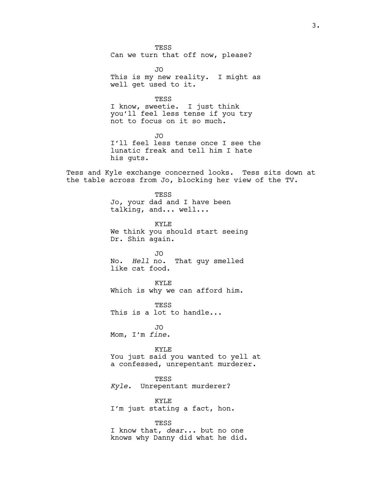**TESS** Can we turn that off now, please?

JO This is my new reality. I might as well get used to it.

TESS I know, sweetie. I just think you'll feel less tense if you try not to focus on it so much.

JO I'll feel less tense once I see the lunatic freak and tell him I hate his guts.

Tess and Kyle exchange concerned looks. Tess sits down at the table across from Jo, blocking her view of the TV.

> TESS Jo, your dad and I have been talking, and... well...

KYLE We think you should start seeing Dr. Shin again.

JO No. *Hell* no. That guy smelled like cat food.

KYLE Which is why we can afford him.

**TESS** This is a lot to handle...

JO Mom, I'm *fine*.

KYLE You just said you wanted to yell at a confessed, unrepentant murderer.

TESS *Kyle*. Unrepentant murderer?

KYLE I'm just stating a fact, hon.

TESS I know that, *dear*... but no one knows why Danny did what he did.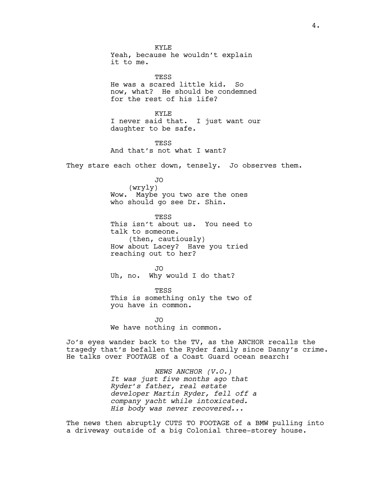KYLE Yeah, because he wouldn't explain it to me.

**TESS** He was a scared little kid. So now, what? He should be condemned for the rest of his life?

KYLE I never said that. I just want our daughter to be safe.

**TESS** And that's not what I want?

They stare each other down, tensely. Jo observes them.

JO

(wryly) Wow. Maybe you two are the ones who should go see Dr. Shin.

TESS This isn't about us. You need to talk to someone. (then, cautiously) How about Lacey? Have you tried reaching out to her?

JO Uh, no. Why would I do that?

TESS This is something only the two of you have in common.

JO We have nothing in common.

Jo's eyes wander back to the TV, as the ANCHOR recalls the tragedy that's befallen the Ryder family since Danny's crime. He talks over FOOTAGE of a Coast Guard ocean search:

> *NEWS ANCHOR (V.O.) It was just five months ago that Ryder's father, real estate developer Martin Ryder, fell off a company yacht while intoxicated. His body was never recovered...*

The news then abruptly CUTS TO FOOTAGE of a BMW pulling into a driveway outside of a big Colonial three-storey house.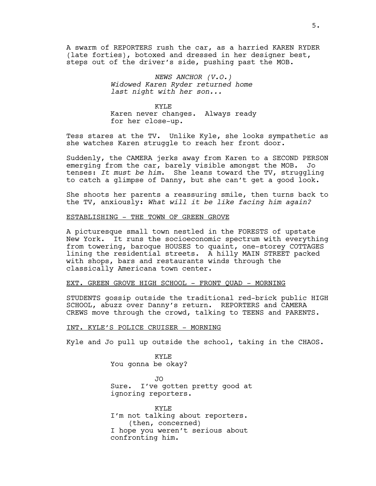A swarm of REPORTERS rush the car, as a harried KAREN RYDER (late forties), botoxed and dressed in her designer best, steps out of the driver's side, pushing past the MOB.

> *NEWS ANCHOR (V.O.) Widowed Karen Ryder returned home last night with her son...*

KYLE Karen never changes. Always ready for her close-up.

Tess stares at the TV. Unlike Kyle, she looks sympathetic as she watches Karen struggle to reach her front door.

Suddenly, the CAMERA jerks away from Karen to a SECOND PERSON emerging from the car, barely visible amongst the MOB. Jo tenses: *It must be him*. She leans toward the TV, struggling to catch a glimpse of Danny, but she can't get a good look.

She shoots her parents a reassuring smile, then turns back to the TV, anxiously: *What will it be like facing him again?* 

## ESTABLISHING - THE TOWN OF GREEN GROVE

A picturesque small town nestled in the FORESTS of upstate New York. It runs the socioeconomic spectrum with everything from towering, baroque HOUSES to quaint, one-storey COTTAGES lining the residential streets. A hilly MAIN STREET packed with shops, bars and restaurants winds through the classically Americana town center.

## EXT. GREEN GROVE HIGH SCHOOL - FRONT QUAD - MORNING

STUDENTS gossip outside the traditional red-brick public HIGH SCHOOL, abuzz over Danny's return. REPORTERS and CAMERA CREWS move through the crowd, talking to TEENS and PARENTS.

## INT. KYLE'S POLICE CRUISER - MORNING

Kyle and Jo pull up outside the school, taking in the CHAOS.

KYLE You gonna be okay?

JO Sure. I've gotten pretty good at ignoring reporters.

KYLE I'm not talking about reporters. (then, concerned) I hope you weren't serious about confronting him.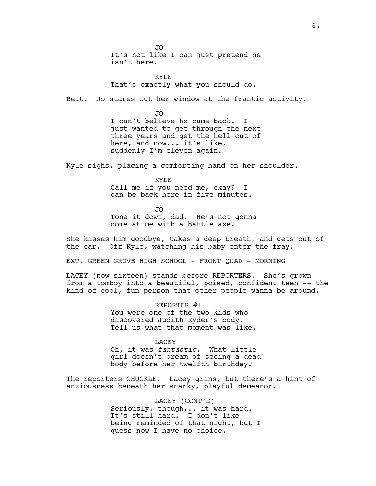JO It's not like I can just pretend he isn't here.

KYLE That's exactly what you should do.

Beat. Jo stares out her window at the frantic activity.

JO I can't believe he came back. I just wanted to get through the next three years and get the hell out of here, and now... it's like, suddenly I'm eleven again.

Kyle sighs, placing a comforting hand on her shoulder.

KYLE Call me if you need me, okay? I can be back here in five minutes.

JO Tone it down, dad. He's not gonna come at me with a battle axe.

She kisses him goodbye, takes a deep breath, and gets out of the car. Off Kyle, watching his baby enter the fray.

## EXT. GREEN GROVE HIGH SCHOOL - FRONT QUAD - MORNING

LACEY (now sixteen) stands before REPORTERS. She's grown from a tomboy into a beautiful, poised, confident teen -- the kind of cool, fun person that other people wanna be around.

> REPORTER #1 You were one of the two kids who discovered Judith Ryder's body. Tell us what that moment was like.

LACEY Oh, it was *fantastic*. What little girl doesn't dream of seeing a dead body before her twelfth birthday?

The reporters CHUCKLE. Lacey grins, but there's a hint of anxiousness beneath her snarky, playful demeanor.

> LACEY (CONT'D) Seriously, though... it was hard. It's still hard. I don't like being reminded of that night, but I guess now I have no choice.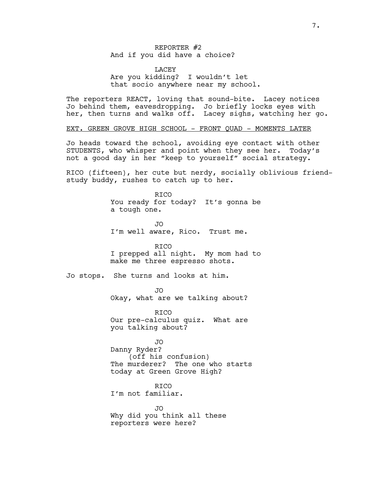## REPORTER #2 And if you did have a choice?

**LACEY** Are you kidding? I wouldn't let that socio anywhere near my school.

The reporters REACT, loving that sound-bite. Lacey notices Jo behind them, eavesdropping. Jo briefly locks eyes with her, then turns and walks off. Lacey sighs, watching her go.

EXT. GREEN GROVE HIGH SCHOOL - FRONT QUAD - MOMENTS LATER

Jo heads toward the school, avoiding eye contact with other STUDENTS, who whisper and point when they see her. Today's not a good day in her "keep to yourself" social strategy.

RICO (fifteen), her cute but nerdy, socially oblivious friendstudy buddy, rushes to catch up to her.

> RICO You ready for today? It's gonna be a tough one.

JO I'm well aware, Rico. Trust me.

RICO I prepped all night. My mom had to make me three espresso shots.

Jo stops. She turns and looks at him.

JO Okay, what are we talking about?

RICO Our pre-calculus quiz. What are you talking about?

JO Danny Ryder? (off his confusion) The murderer? The one who starts today at Green Grove High?

**RTCO** I'm not familiar.

JO Why did you think all these reporters were here?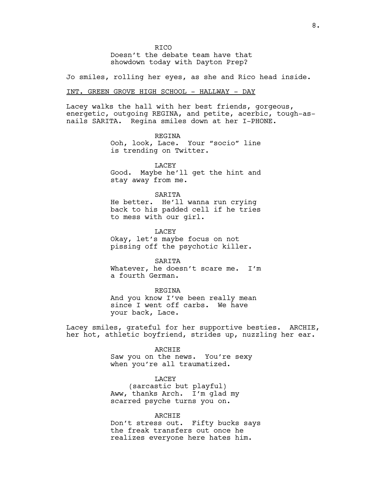**RTCO** 

Doesn't the debate team have that showdown today with Dayton Prep?

Jo smiles, rolling her eyes, as she and Rico head inside.

## INT. GREEN GROVE HIGH SCHOOL - HALLWAY - DAY

Lacey walks the hall with her best friends, gorgeous, energetic, outgoing REGINA, and petite, acerbic, tough-asnails SARITA. Regina smiles down at her I-PHONE.

> REGINA Ooh, look, Lace. Your "socio" line is trending on Twitter.

> LACEY Good. Maybe he'll get the hint and stay away from me.

#### SARITA

He better. He'll wanna run crying back to his padded cell if he tries to mess with our girl.

LACEY

Okay, let's maybe focus on not pissing off the psychotic killer.

SARITA

Whatever, he doesn't scare me. I'm a fourth German.

REGINA

And you know I've been really mean since I went off carbs. We have your back, Lace.

Lacey smiles, grateful for her supportive besties. ARCHIE, her hot, athletic boyfriend, strides up, nuzzling her ear.

#### ARCHIE

Saw you on the news. You're sexy when you're all traumatized.

LACEY (sarcastic but playful) Aww, thanks Arch. I'm glad my scarred psyche turns you on.

#### ARCHIE

Don't stress out. Fifty bucks says the freak transfers out once he realizes everyone here hates him.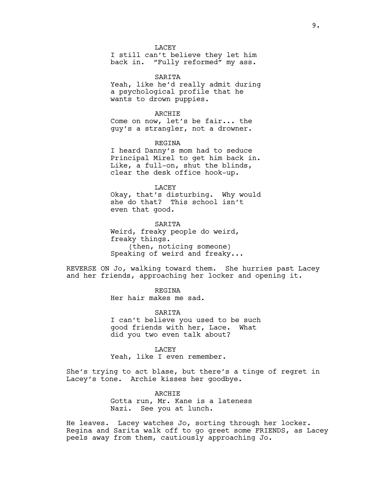**LACEY** 

I still can't believe they let him back in. "Fully reformed" my ass.

SARITA Yeah, like he'd really admit during a psychological profile that he wants to drown puppies.

ARCHIE Come on now, let's be fair... the guy's a strangler, not a drowner.

REGINA

I heard Danny's mom had to seduce Principal Mirel to get him back in. Like, a full-on, shut the blinds, clear the desk office hook-up.

LACEY Okay, that's disturbing. Why would she do that? This school isn't even that good.

**SARTTA** Weird, freaky people do weird, freaky things. (then, noticing someone) Speaking of weird and freaky...

REVERSE ON Jo, walking toward them. She hurries past Lacey and her friends, approaching her locker and opening it.

REGINA

Her hair makes me sad.

SARITA

I can't believe you used to be such good friends with her, Lace. What did you two even talk about?

LACEY

Yeah, like I even remember.

She's trying to act blase, but there's a tinge of regret in Lacey's tone. Archie kisses her goodbye.

> ARCHIE Gotta run, Mr. Kane is a lateness Nazi. See you at lunch.

He leaves. Lacey watches Jo, sorting through her locker. Regina and Sarita walk off to go greet some FRIENDS, as Lacey peels away from them, cautiously approaching Jo.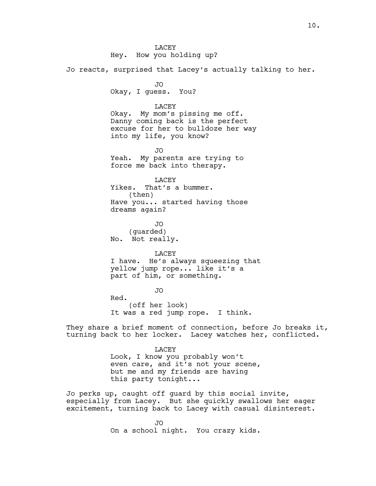**LACEY** Hey. How you holding up?

Jo reacts, surprised that Lacey's actually talking to her.

JO Okay, I guess. You?

#### LACEY

Okay. My mom's pissing me off. Danny coming back is the perfect excuse for her to bulldoze her way into my life, you know?

JO Yeah. My parents are trying to force me back into therapy.

LACEY Yikes. That's a bummer. (then) Have you... started having those dreams again?

JO (guarded) No. Not really.

LACEY

I have. He's always squeezing that yellow jump rope... like it's a part of him, or something.

JO Red. (off her look) It was a red jump rope. I think.

They share a brief moment of connection, before Jo breaks it, turning back to her locker. Lacey watches her, conflicted.

> LACEY Look, I know you probably won't even care, and it's not your scene, but me and my friends are having this party tonight...

Jo perks up, caught off guard by this social invite, especially from Lacey. But she quickly swallows her eager excitement, turning back to Lacey with casual disinterest.

> JO On a school night. You crazy kids.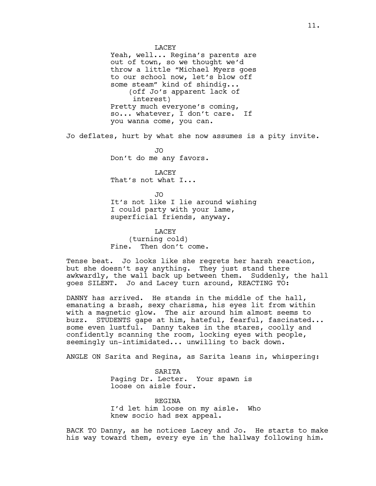**LACEY** Yeah, well... Regina's parents are out of town, so we thought we'd throw a little "Michael Myers goes to our school now, let's blow off some steam" kind of shindig... (off Jo's apparent lack of interest) Pretty much everyone's coming, so... whatever, I don't care. If you wanna come, you can. Jo deflates, hurt by what she now assumes is a pity invite. JO Don't do me any favors. LACEY That's not what I... JO It's not like I lie around wishing I could party with your lame, superficial friends, anyway. LACEY (turning cold) Fine. Then don't come.

Tense beat. Jo looks like she regrets her harsh reaction, but she doesn't say anything. They just stand there awkwardly, the wall back up between them. Suddenly, the hall goes SILENT. Jo and Lacey turn around, REACTING TO:

DANNY has arrived. He stands in the middle of the hall, emanating a brash, sexy charisma, his eyes lit from within with a magnetic glow. The air around him almost seems to buzz. STUDENTS gape at him, hateful, fearful, fascinated... some even lustful. Danny takes in the stares, coolly and confidently scanning the room, locking eyes with people, seemingly un-intimidated... unwilling to back down.

ANGLE ON Sarita and Regina, as Sarita leans in, whispering:

SARITA Paging Dr. Lecter. Your spawn is loose on aisle four.

REGINA I'd let him loose on my aisle. Who knew socio had sex appeal.

BACK TO Danny, as he notices Lacey and Jo. He starts to make his way toward them, every eye in the hallway following him.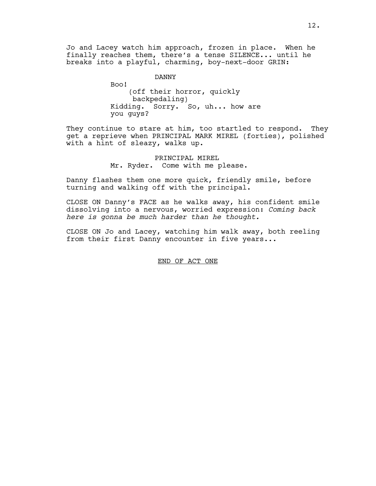Jo and Lacey watch him approach, frozen in place. When he finally reaches them, there's a tense SILENCE... until he breaks into a playful, charming, boy-next-door GRIN:

> DANNY Boo! (off their horror, quickly backpedaling) Kidding. Sorry. So, uh... how are you guys?

They continue to stare at him, too startled to respond. They get a reprieve when PRINCIPAL MARK MIREL (forties), polished with a hint of sleazy, walks up.

> PRINCIPAL MIREL Mr. Ryder. Come with me please.

Danny flashes them one more quick, friendly smile, before turning and walking off with the principal.

CLOSE ON Danny's FACE as he walks away, his confident smile dissolving into a nervous, worried expression: *Coming back here is gonna be much harder than he thought.* 

CLOSE ON Jo and Lacey, watching him walk away, both reeling from their first Danny encounter in five years...

END OF ACT ONE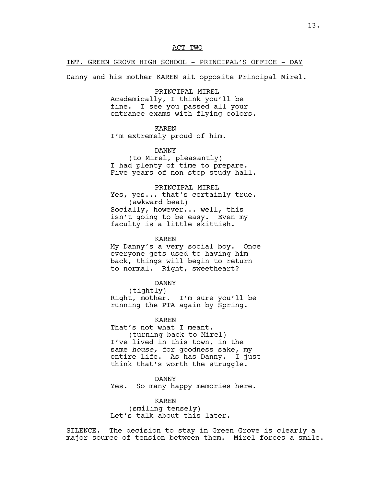## INT. GREEN GROVE HIGH SCHOOL - PRINCIPAL'S OFFICE - DAY

Danny and his mother KAREN sit opposite Principal Mirel.

## PRINCIPAL MIREL

Academically, I think you'll be fine. I see you passed all your entrance exams with flying colors.

## KAREN

I'm extremely proud of him.

## DANNY

(to Mirel, pleasantly) I had plenty of time to prepare. Five years of non-stop study hall.

## PRINCIPAL MIREL

Yes, yes... that's certainly true. (awkward beat) Socially, however... well, this isn't going to be easy. Even my faculty is a little skittish.

## KAREN

My Danny's a very social boy. Once everyone gets used to having him back, things will begin to return to normal. Right, sweetheart?

### DANNY

(tightly) Right, mother. I'm sure you'll be running the PTA again by Spring.

## KAREN

That's not what I meant. (turning back to Mirel) I've lived in this town, in the same *house,* for goodness sake, my entire life. As has Danny. I just think that's worth the struggle.

## DANNY

Yes. So many happy memories here.

## KAREN

(smiling tensely) Let's talk about this later.

SILENCE. The decision to stay in Green Grove is clearly a major source of tension between them. Mirel forces a smile.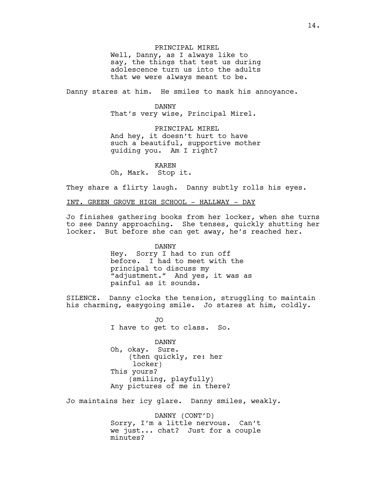PRINCIPAL MIREL Well, Danny, as I always like to say, the things that test us during adolescence turn us into the adults that we were always meant to be.

Danny stares at him. He smiles to mask his annoyance.

## DANNY

That's very wise, Principal Mirel.

PRINCIPAL MIREL And hey, it doesn't hurt to have such a beautiful, supportive mother guiding you. Am I right?

KAREN

Oh, Mark. Stop it.

They share a flirty laugh. Danny subtly rolls his eyes.

INT. GREEN GROVE HIGH SCHOOL - HALLWAY - DAY

Jo finishes gathering books from her locker, when she turns to see Danny approaching. She tenses, quickly shutting her locker. But before she can get away, he's reached her.

> DANNY Hey. Sorry I had to run off before. I had to meet with the principal to discuss my "adjustment." And yes, it was as painful as it sounds.

SILENCE. Danny clocks the tension, struggling to maintain his charming, easygoing smile. Jo stares at him, coldly.

> JO I have to get to class. So.

> DANNY Oh, okay. Sure. (then quickly, re: her locker) This yours? (smiling, playfully) Any pictures of me in there?

Jo maintains her icy glare. Danny smiles, weakly.

DANNY (CONT'D) Sorry, I'm a little nervous. Can't we just... chat? Just for a couple minutes?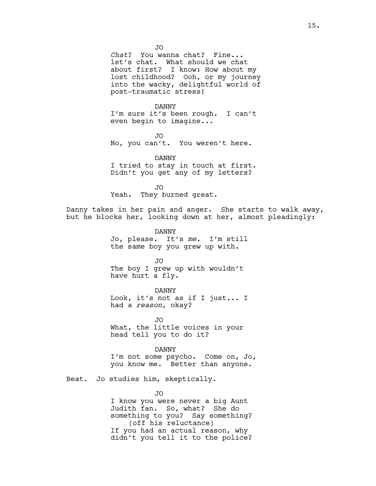JO

*Chat*? You wanna chat? Fine... let's chat. What should we chat about first? I know: How about my lost childhood? Ooh, or my journey into the wacky, delightful world of post-traumatic stress!

DANNY

I'm sure it's been rough. I can't even begin to imagine...

JO No, you can't. You weren't here.

DANNY I tried to stay in touch at first. Didn't you get any of my letters?

JO Yeah. They burned great.

Danny takes in her pain and anger. She starts to walk away, but he blocks her, looking down at her, almost pleadingly:

> DANNY Jo, please. It's *me*. I'm still the same boy you grew up with.

JO The boy I grew up with wouldn't have hurt a fly.

DANNY Look, it's not as if I just... I had a *reason*, okay?

JO What, the little voices in your head tell you to do it?

DANNY I'm not some psycho. Come on, Jo, you know me. Better than anyone.

Beat. Jo studies him, skeptically.

JO

I know you were never a big Aunt Judith fan. So, what? She do something to you? Say something? (off his reluctance) If you had an actual reason, why didn't you tell it to the police?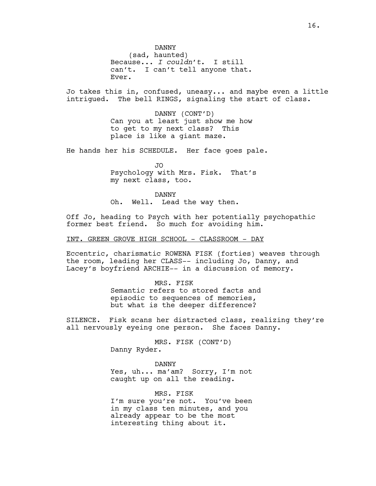DANNY (sad, haunted) Because... *I couldn't*. I still can't. I can't tell anyone that. Ever.

Jo takes this in, confused, uneasy... and maybe even a little intrigued. The bell RINGS, signaling the start of class.

> DANNY (CONT'D) Can you at least just show me how to get to my next class? This place is like a giant maze.

He hands her his SCHEDULE. Her face goes pale.

JO Psychology with Mrs. Fisk. That's my next class, too.

DANNY Oh. Well. Lead the way then.

Off Jo, heading to Psych with her potentially psychopathic former best friend. So much for avoiding him.

INT. GREEN GROVE HIGH SCHOOL - CLASSROOM - DAY

Eccentric, charismatic ROWENA FISK (forties) weaves through the room, leading her CLASS-- including Jo, Danny, and Lacey's boyfriend ARCHIE-- in a discussion of memory.

MRS. FISK

Semantic refers to stored facts and episodic to sequences of memories, but what is the deeper difference?

SILENCE. Fisk scans her distracted class, realizing they're all nervously eyeing one person. She faces Danny.

> MRS. FISK (CONT'D) Danny Ryder.

> > DANNY

Yes, uh... ma'am? Sorry, I'm not caught up on all the reading.

MRS. FISK I'm sure you're not. You've been in my class ten minutes, and you already appear to be the most interesting thing about it.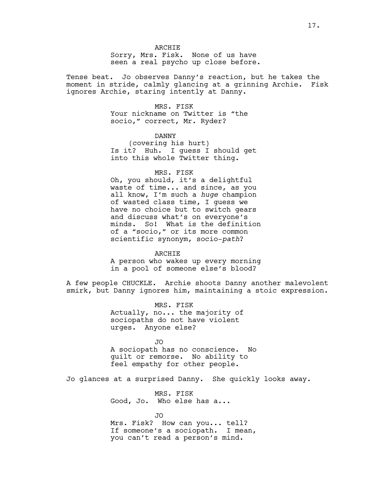Sorry, Mrs. Fisk. None of us have seen a real psycho up close before.

Tense beat. Jo observes Danny's reaction, but he takes the moment in stride, calmly glancing at a grinning Archie. Fisk ignores Archie, staring intently at Danny.

## MRS. FISK

Your nickname on Twitter is "the socio," correct, Mr. Ryder?

## DANNY

(covering his hurt) Is it? Huh. I guess I should get into this whole Twitter thing.

## MRS. FISK

Oh, you should, it's a delightful waste of time... and since, as you all know, I'm such a *huge* champion of wasted class time, I guess we have no choice but to switch gears and discuss what's on everyone's minds. So! What is the definition of a "socio," or its more common scientific synonym, socio-*path*?

#### ARCHIE

A person who wakes up every morning in a pool of someone else's blood?

A few people CHUCKLE. Archie shoots Danny another malevolent smirk, but Danny ignores him, maintaining a stoic expression.

> MRS. FISK Actually, no... the majority of sociopaths do not have violent urges. Anyone else?

JO A sociopath has no conscience. No guilt or remorse. No ability to feel empathy for other people.

Jo glances at a surprised Danny. She quickly looks away.

MRS. FISK Good, Jo. Who else has a...

JO Mrs. Fisk? How can you... tell? If someone's a sociopath. I mean, you can't read a person's mind.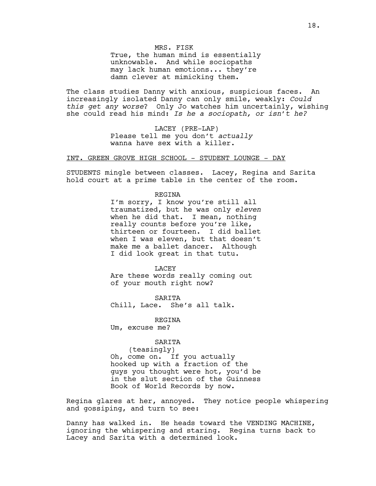MRS. FISK

True, the human mind is essentially unknowable. And while sociopaths may lack human emotions... they're damn clever at mimicking them.

The class studies Danny with anxious, suspicious faces. An increasingly isolated Danny can only smile, weakly: *Could this get any worse*? Only Jo watches him uncertainly, wishing she could read his mind: *Is he a sociopath, or isn't he?*

> LACEY (PRE-LAP) Please tell me you don't *actually* wanna have sex with a killer.

INT. GREEN GROVE HIGH SCHOOL - STUDENT LOUNGE - DAY

STUDENTS mingle between classes. Lacey, Regina and Sarita hold court at a prime table in the center of the room.

REGINA

I'm sorry, I know you're still all traumatized, but he was only *eleven*  when he did that. I mean, nothing really counts before you're like, thirteen or fourteen. I did ballet when I was eleven, but that doesn't make me a ballet dancer. Although I did look great in that tutu.

LACEY Are these words really coming out of your mouth right now?

SARITA Chill, Lace. She's all talk.

REGINA

Um, excuse me?

SARITA

(teasingly) Oh, come on. If you actually hooked up with a fraction of the guys you thought were hot, you'd be in the slut section of the Guinness Book of World Records by now.

Regina glares at her, annoyed. They notice people whispering and gossiping, and turn to see:

Danny has walked in. He heads toward the VENDING MACHINE, ignoring the whispering and staring. Regina turns back to Lacey and Sarita with a determined look.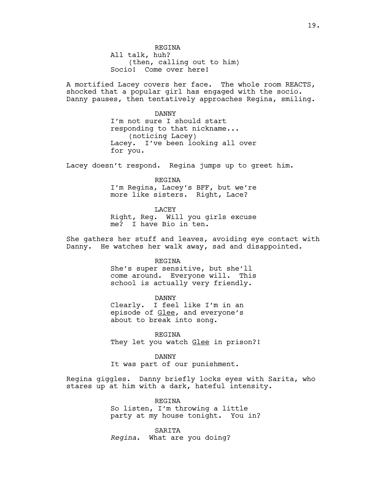REGINA All talk, huh? (then, calling out to him) Socio! Come over here!

A mortified Lacey covers her face. The whole room REACTS, shocked that a popular girl has engaged with the socio. Danny pauses, then tentatively approaches Regina, smiling.

> DANNY I'm not sure I should start responding to that nickname... (noticing Lacey) Lacey. I've been looking all over for you.

Lacey doesn't respond. Regina jumps up to greet him.

REGINA I'm Regina, Lacey's BFF, but we're more like sisters. Right, Lace?

LACEY Right, Reg. Will you girls excuse me? I have Bio in ten.

She gathers her stuff and leaves, avoiding eye contact with Danny. He watches her walk away, sad and disappointed.

## REGINA

She's super sensitive, but she'll come around. Everyone will. This school is actually very friendly.

DANNY Clearly. I feel like I'm in an episode of Glee, and everyone's about to break into song.

REGINA They let you watch Glee in prison?!

DANNY It was part of our punishment.

Regina giggles. Danny briefly locks eyes with Sarita, who stares up at him with a dark, hateful intensity.

> REGINA So listen, I'm throwing a little party at my house tonight. You in?

SARITA *Regina*. What are you doing?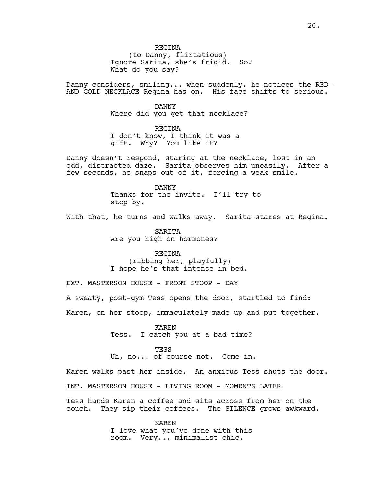(to Danny, flirtatious) Ignore Sarita, she's frigid. So? What do you say?

Danny considers, smiling... when suddenly, he notices the RED-AND-GOLD NECKLACE Regina has on. His face shifts to serious.

> DANNY Where did you get that necklace?

REGINA I don't know, I think it was a gift. Why? You like it?

Danny doesn't respond, staring at the necklace, lost in an odd, distracted daze. Sarita observes him uneasily. After a few seconds, he snaps out of it, forcing a weak smile.

> DANNY Thanks for the invite. I'll try to stop by.

With that, he turns and walks away. Sarita stares at Regina.

SARITA Are you high on hormones?

REGINA (ribbing her, playfully) I hope he's that intense in bed.

EXT. MASTERSON HOUSE - FRONT STOOP - DAY

A sweaty, post-gym Tess opens the door, startled to find:

Karen, on her stoop, immaculately made up and put together.

KAREN Tess. I catch you at a bad time?

TESS

Uh, no... of course not. Come in.

Karen walks past her inside. An anxious Tess shuts the door.

INT. MASTERSON HOUSE - LIVING ROOM - MOMENTS LATER

Tess hands Karen a coffee and sits across from her on the couch. They sip their coffees. The SILENCE grows awkward.

> KAREN I love what you've done with this room. Very... minimalist chic.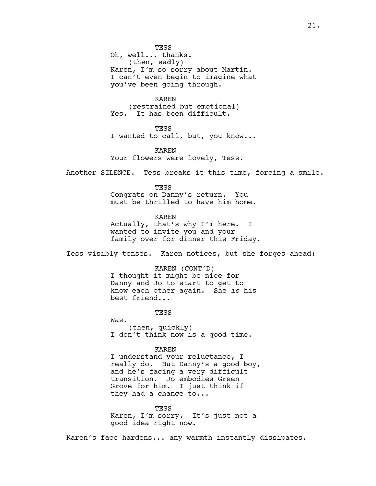**TESS** Oh, well... thanks. (then, sadly) Karen, I'm so sorry about Martin. I can't even begin to imagine what you've been going through.

KAREN (restrained but emotional) Yes. It has been difficult.

**TESS** I wanted to call, but, you know...

KAREN Your flowers were lovely, Tess.

Another SILENCE. Tess breaks it this time, forcing a smile.

TESS Congrats on Danny's return. You must be thrilled to have him home.

KAREN Actually, that's why I'm here. I wanted to invite you and your family over for dinner this Friday.

Tess visibly tenses. Karen notices, but she forges ahead:

KAREN (CONT'D) I thought it might be nice for Danny and Jo to start to get to know each other again. She *is* his best friend...

TESS

Was.

(then, quickly) I don't think now is a good time.

KAREN I understand your reluctance, I really do. But Danny's a good boy, and he's facing a very difficult transition. Jo embodies Green Grove for him. I just think if they had a chance to...

TESS Karen, I'm sorry. It's just not a good idea right now.

Karen's face hardens... any warmth instantly dissipates.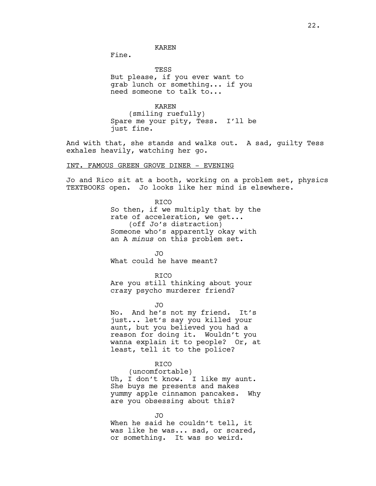Fine.

TESS But please, if you ever want to grab lunch or something... if you need someone to talk to...

KAREN (smiling ruefully) Spare me your pity, Tess. I'll be just fine.

And with that, she stands and walks out. A sad, guilty Tess exhales heavily, watching her go.

INT. FAMOUS GREEN GROVE DINER - EVENING

Jo and Rico sit at a booth, working on a problem set, physics TEXTBOOKS open. Jo looks like her mind is elsewhere.

> RICO So then, if we multiply that by the rate of acceleration, we get... (off Jo's distraction) Someone who's apparently okay with an A *minus* on this problem set.

JO What could he have meant?

RICO Are you still thinking about your crazy psycho murderer friend?

JO

No. And he's not my friend. It's just... let's say you killed your aunt, but you believed you had a reason for doing it. Wouldn't you wanna explain it to people? Or, at least, tell it to the police?

## RICO

(uncomfortable) Uh, I don't know. I like my aunt. She buys me presents and makes yummy apple cinnamon pancakes. Why are you obsessing about this?

JO When he said he couldn't tell, it was like he was... sad, or scared, or something. It was so weird.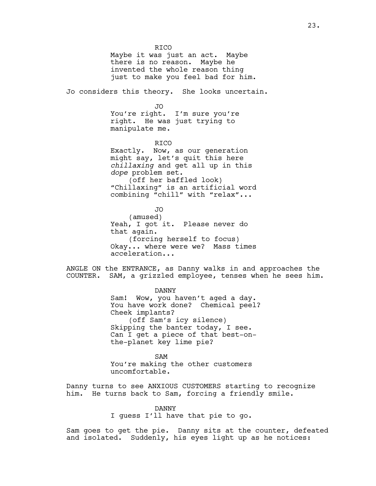**RTCO** Maybe it was just an act. Maybe there is no reason. Maybe he invented the whole reason thing just to make you feel bad for him. Jo considers this theory. She looks uncertain. JO You're right. I'm sure you're right. He was just trying to manipulate me. RICO Exactly. Now, as our generation might say, let's quit this here *chillaxing* and get all up in this *dope* problem set. (off her baffled look) "Chillaxing" is an artificial word combining "chill" with "relax"... JO (amused) Yeah, I got it. Please never do that again. (forcing herself to focus) Okay... where were we? Mass times acceleration... ANGLE ON the ENTRANCE, as Danny walks in and approaches the COUNTER. SAM, a grizzled employee, tenses when he sees him. DANNY Sam! Wow, you haven't aged a day. You have work done? Chemical peel? Cheek implants? (off Sam's icy silence) Skipping the banter today, I see. Can I get a piece of that best-onthe-planet key lime pie? SAM You're making the other customers uncomfortable. Danny turns to see ANXIOUS CUSTOMERS starting to recognize him. He turns back to Sam, forcing a friendly smile.

DANNY

I guess I'll have that pie to go.

Sam goes to get the pie. Danny sits at the counter, defeated and isolated. Suddenly, his eyes light up as he notices: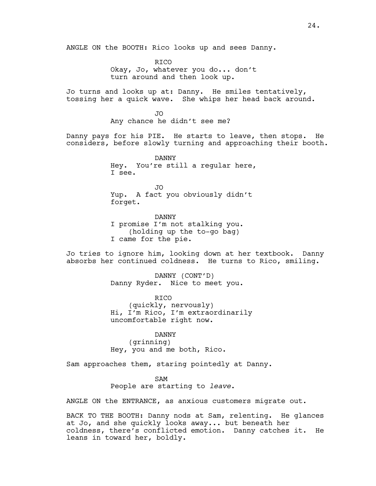ANGLE ON the BOOTH: Rico looks up and sees Danny.

**RTCO** Okay, Jo, whatever you do... don't turn around and then look up.

Jo turns and looks up at: Danny. He smiles tentatively, tossing her a quick wave. She whips her head back around.

> JO Any chance he didn't see me?

Danny pays for his PIE. He starts to leave, then stops. He considers, before slowly turning and approaching their booth.

> DANNY Hey. You're still a regular here, I see.

JO Yup. A fact you obviously didn't forget.

DANNY I promise I'm not stalking you. (holding up the to-go bag) I came for the pie.

Jo tries to ignore him, looking down at her textbook. Danny absorbs her continued coldness. He turns to Rico, smiling.

> DANNY (CONT'D) Danny Ryder. Nice to meet you.

RICO (quickly, nervously) Hi, I'm Rico, I'm extraordinarily uncomfortable right now.

DANNY (grinning) Hey, you and me both, Rico.

Sam approaches them, staring pointedly at Danny.

SAM

People are starting to *leave*.

ANGLE ON the ENTRANCE, as anxious customers migrate out.

BACK TO THE BOOTH: Danny nods at Sam, relenting. He glances at Jo, and she quickly looks away... but beneath her coldness, there's conflicted emotion. Danny catches it. He leans in toward her, boldly.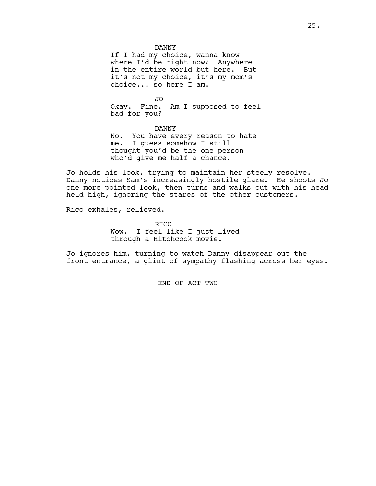DANNY

If I had my choice, wanna know where I'd be right now? Anywhere in the entire world but here. But it's not my choice, it's my mom's choice... so here I am.

JO Okay. Fine. Am I supposed to feel bad for you?

DANNY

No. You have every reason to hate me. I guess somehow I still thought you'd be the one person who'd give me half a chance.

Jo holds his look, trying to maintain her steely resolve. Danny notices Sam's increasingly hostile glare. He shoots Jo one more pointed look, then turns and walks out with his head held high, ignoring the stares of the other customers.

Rico exhales, relieved.

**RTCO** Wow. I feel like I just lived through a Hitchcock movie.

Jo ignores him, turning to watch Danny disappear out the front entrance, a glint of sympathy flashing across her eyes.

END OF ACT TWO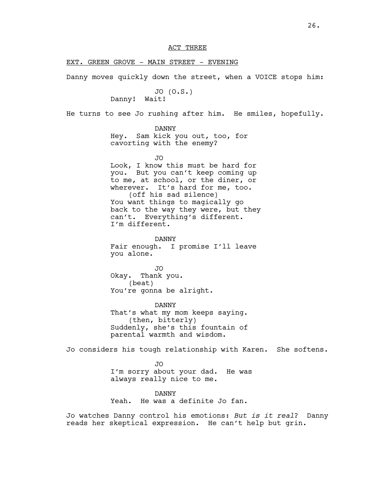## EXT. GREEN GROVE - MAIN STREET - EVENING

Danny moves quickly down the street, when a VOICE stops him:

JO (O.S.) Danny! Wait!

He turns to see Jo rushing after him. He smiles, hopefully.

DANNY

Hey. Sam kick you out, too, for cavorting with the enemy?

JO

Look, I know this must be hard for you. But you can't keep coming up to me, at school, or the diner, or wherever. It's hard for me, too. (off his sad silence) You want things to magically go back to the way they were, but they can't. Everything's different. I'm different.

DANNY Fair enough. I promise I'll leave you alone.

JO Okay. Thank you. (beat) You're gonna be alright.

DANNY That's what my mom keeps saying. (then, bitterly) Suddenly, she's this fountain of parental warmth and wisdom.

Jo considers his tough relationship with Karen. She softens.

JO I'm sorry about your dad. He was always really nice to me.

DANNY Yeah. He was a definite Jo fan.

Jo watches Danny control his emotions: *But is it real*? Danny reads her skeptical expression. He can't help but grin.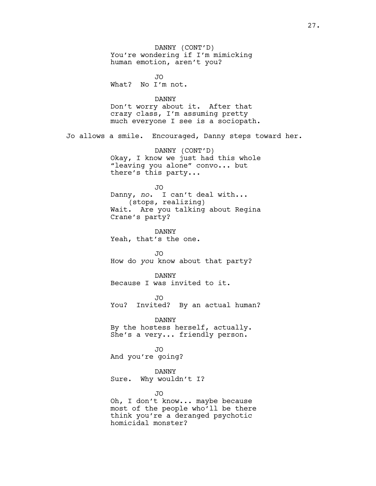DANNY (CONT'D) You're wondering if I'm mimicking human emotion, aren't you? JO What? No I'm not. DANNY Don't worry about it. After that crazy class, I'm assuming pretty much everyone I see is a sociopath. Jo allows a smile. Encouraged, Danny steps toward her. DANNY (CONT'D) Okay, I know we just had this whole "leaving you alone" convo... but there's this party... JO Danny, *no*. I can't deal with... (stops, realizing) Wait. Are you talking about Regina Crane's party? DANNY Yeah, that's the one. JO How do *you* know about that party? DANNY Because I was invited to it. JO You? Invited? By an actual human? DANNY By the hostess herself, actually. She's a very... friendly person. JO And you're going? DANNY Sure. Why wouldn't I? JO Oh, I don't know... maybe because most of the people who'll be there think you're a deranged psychotic homicidal monster?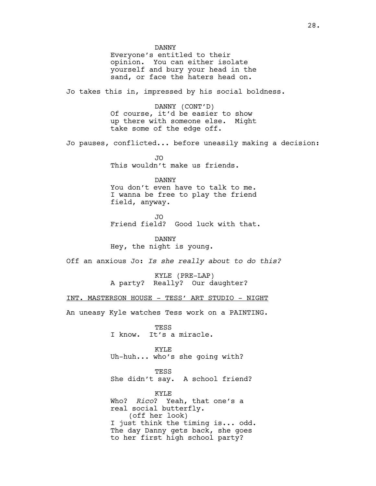DANNY Everyone's entitled to their opinion. You can either isolate yourself and bury your head in the sand, or face the haters head on. Jo takes this in, impressed by his social boldness. DANNY (CONT'D) Of course, it'd be easier to show up there with someone else. Might take some of the edge off. Jo pauses, conflicted... before uneasily making a decision: JO This wouldn't make us friends. DANNY You don't even have to talk to me. I wanna be free to play the friend field, anyway. JO Friend field? Good luck with that. DANNY Hey, the night is young. Off an anxious Jo: *Is she really about to do this?*  KYLE (PRE-LAP) A party? Really? Our daughter? INT. MASTERSON HOUSE - TESS' ART STUDIO - NIGHT An uneasy Kyle watches Tess work on a PAINTING. TESS I know. It's a miracle. KYLE Uh-huh... who's she going with? TESS She didn't say. A school friend? KYLE Who? *Rico*? Yeah, that one's a real social butterfly. (off her look) I just think the timing is... odd. The day Danny gets back, she goes to her first high school party?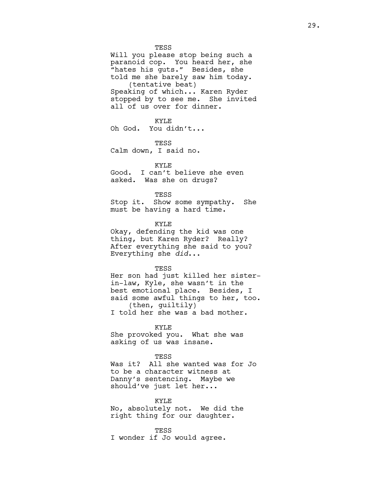**TESS** 

Will you please stop being such a paranoid cop. You heard her, she "hates his guts." Besides, she told me she barely saw him today. (tentative beat) Speaking of which... Karen Ryder stopped by to see me. She invited all of us over for dinner.

#### KYLE

Oh God. You didn't...

TESS

Calm down, I said no.

## KYLE

Good. I can't believe she even asked. Was she on drugs?

#### TESS

Stop it. Show some sympathy. She must be having a hard time.

KYLE

Okay, defending the kid was one thing, but Karen Ryder? Really? After everything she said to you? Everything she *did*...

#### TESS

Her son had just killed her sisterin-law, Kyle, she wasn't in the best emotional place. Besides, I said some awful things to her, too. (then, guiltily)

I told her she was a bad mother.

## KYLE

She provoked you. What she was asking of us was insane.

#### TESS

Was it? All she wanted was for Jo to be a character witness at Danny's sentencing. Maybe we should've just let her...

## KYLE

No, absolutely not. We did the right thing for our daughter.

TESS

I wonder if Jo would agree.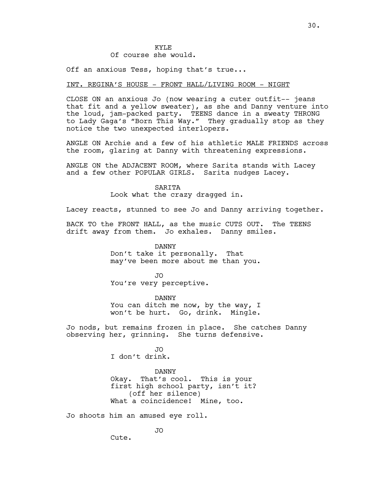## KYLE Of course she would.

Off an anxious Tess, hoping that's true...

## INT. REGINA'S HOUSE - FRONT HALL/LIVING ROOM - NIGHT

CLOSE ON an anxious Jo (now wearing a cuter outfit-- jeans that fit and a yellow sweater), as she and Danny venture into the loud, jam-packed party. TEENS dance in a sweaty THRONG to Lady Gaga's "Born This Way." They gradually stop as they notice the two unexpected interlopers.

ANGLE ON Archie and a few of his athletic MALE FRIENDS across the room, glaring at Danny with threatening expressions.

ANGLE ON the ADJACENT ROOM, where Sarita stands with Lacey and a few other POPULAR GIRLS. Sarita nudges Lacey.

SARITA

Look what the crazy dragged in.

Lacey reacts, stunned to see Jo and Danny arriving together.

BACK TO the FRONT HALL, as the music CUTS OUT. The TEENS drift away from them. Jo exhales. Danny smiles.

> DANNY Don't take it personally. That may've been more about me than you.

JO You're very perceptive.

DANNY You can ditch me now, by the way, I won't be hurt. Go, drink. Mingle.

Jo nods, but remains frozen in place. She catches Danny observing her, grinning. She turns defensive.

> JO I don't drink.

DANNY Okay. That's cool. This is your first high school party, isn't it? (off her silence) What a coincidence! Mine, too.

Jo shoots him an amused eye roll.

JO

Cute.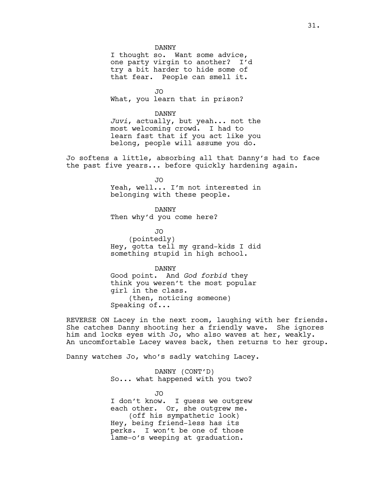DANNY

I thought so. Want some advice, one party virgin to another? I'd try a bit harder to hide some of that fear. People can smell it.

JO What, you learn that in prison?

DANNY *Juvi*, actually, but yeah... not the most welcoming crowd. I had to learn fast that if you act like you belong, people will assume you do.

Jo softens a little, absorbing all that Danny's had to face the past five years... before quickly hardening again.

JO

Yeah, well... I'm not interested in belonging with these people.

DANNY Then why'd you come here?

JO (pointedly) Hey, gotta tell my grand-kids I did something stupid in high school.

DANNY Good point. And *God forbid* they think you weren't the most popular girl in the class. (then, noticing someone) Speaking of...

REVERSE ON Lacey in the next room, laughing with her friends. She catches Danny shooting her a friendly wave. She ignores him and locks eyes with Jo, who also waves at her, weakly. An uncomfortable Lacey waves back, then returns to her group.

Danny watches Jo, who's sadly watching Lacey.

DANNY (CONT'D) So... what happened with you two?

JO I don't know. I guess we outgrew each other. Or, she outgrew me. (off his sympathetic look) Hey, being friend-less has its perks. I won't be one of those lame-o's weeping at graduation.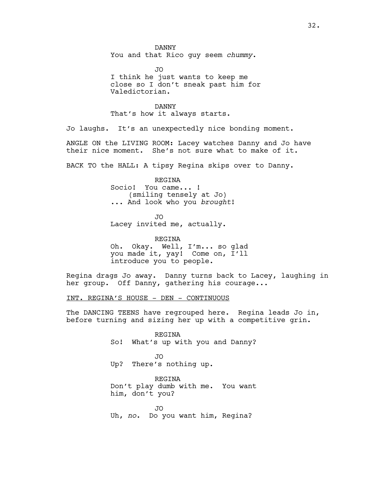DANNY You and that Rico guy seem *chummy*.

JO I think he just wants to keep me close so I don't sneak past him for Valedictorian.

DANNY That's how it always starts.

Jo laughs. It's an unexpectedly nice bonding moment.

ANGLE ON the LIVING ROOM: Lacey watches Danny and Jo have their nice moment. She's not sure what to make of it.

BACK TO the HALL: A tipsy Regina skips over to Danny.

REGINA Socio! You came... ! (smiling tensely at Jo) ... And look who you *brought*!

JO Lacey invited me, actually.

REGINA Oh. Okay. Well, I'm... so glad you made it, yay! Come on, I'll introduce you to people.

Regina drags Jo away. Danny turns back to Lacey, laughing in her group. Off Danny, gathering his courage...

INT. REGINA'S HOUSE - DEN - CONTINUOUS

The DANCING TEENS have regrouped here. Regina leads Jo in, before turning and sizing her up with a competitive grin.

> REGINA So! What's up with you and Danny?

JO Up? There's nothing up.

REGINA Don't play dumb with me. You want him, don't you?

JO Uh, *no*. Do you want him, Regina?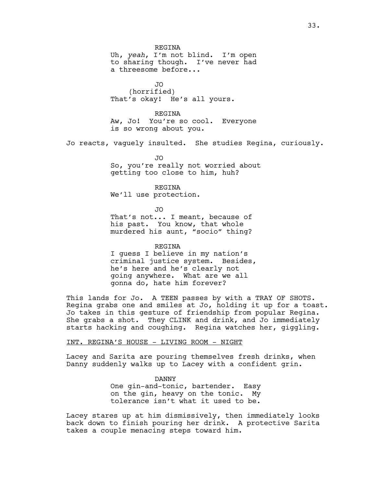JO (horrified) That's okay! He's all yours.

REGINA Aw, Jo! You're so cool. Everyone is so wrong about you.

Jo reacts, vaguely insulted. She studies Regina, curiously.

JO So, you're really not worried about getting too close to him, huh?

REGINA We'll use protection.

JO That's not... I meant, because of his past. You know, that whole murdered his aunt, "socio" thing?

REGINA I guess I believe in my nation's criminal justice system. Besides, he's here and he's clearly not going anywhere. What are we all gonna do, hate him forever?

This lands for Jo. A TEEN passes by with a TRAY OF SHOTS. Regina grabs one and smiles at Jo, holding it up for a toast. Jo takes in this gesture of friendship from popular Regina. She grabs a shot. They CLINK and drink, and Jo immediately starts hacking and coughing. Regina watches her, giggling.

INT. REGINA'S HOUSE - LIVING ROOM - NIGHT

Lacey and Sarita are pouring themselves fresh drinks, when Danny suddenly walks up to Lacey with a confident grin.

> DANNY One gin-and-tonic, bartender. Easy on the gin, heavy on the tonic. My tolerance isn't what it used to be.

Lacey stares up at him dismissively, then immediately looks back down to finish pouring her drink. A protective Sarita takes a couple menacing steps toward him.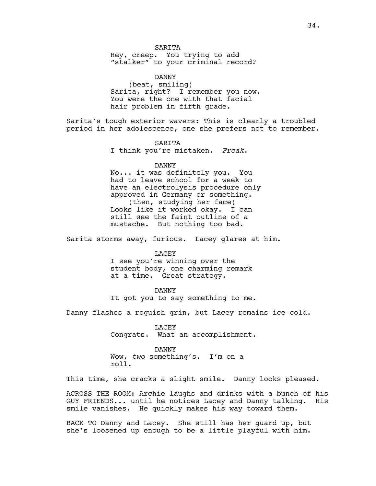**SARTTA** Hey, creep. You trying to add "stalker" to your criminal record?

DANNY (beat, smiling) Sarita, right? I remember you now. You were the one with that facial hair problem in fifth grade.

Sarita's tough exterior wavers: This is clearly a troubled period in her adolescence, one she prefers not to remember.

> **SARTTA** I think you're mistaken. *Freak*.

## DANNY

No... it was definitely you. You had to leave school for a week to have an electrolysis procedure only approved in Germany or something. (then, studying her face) Looks like it worked okay. I can still see the faint outline of a mustache. But nothing too bad.

Sarita storms away, furious. Lacey glares at him.

LACEY

I see you're winning over the student body, one charming remark at a time. Great strategy.

## DANNY

It got you to say something to me.

Danny flashes a roguish grin, but Lacey remains ice-cold.

LACEY Congrats. What an accomplishment.

## DANNY

Wow, *two* something's. I'm on a roll.

This time, she cracks a slight smile. Danny looks pleased.

ACROSS THE ROOM: Archie laughs and drinks with a bunch of his GUY FRIENDS... until he notices Lacey and Danny talking. His smile vanishes. He quickly makes his way toward them.

BACK TO Danny and Lacey. She still has her guard up, but she's loosened up enough to be a little playful with him.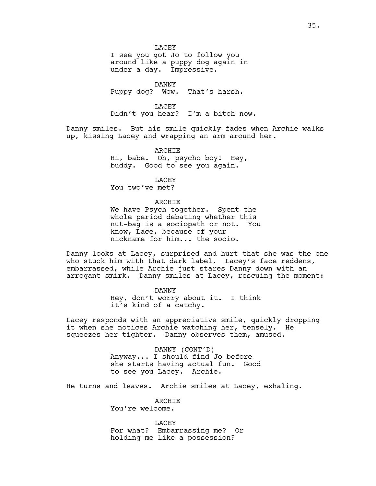**LACEY** 

I see you got Jo to follow you around like a puppy dog again in under a day. Impressive.

DANNY

Puppy dog? Wow. That's harsh.

LACEY

Didn't you hear? I'm a bitch now.

Danny smiles. But his smile quickly fades when Archie walks up, kissing Lacey and wrapping an arm around her.

> ARCHIE Hi, babe. Oh, psycho boy! Hey, buddy. Good to see you again.

> > LACEY

You two've met?

## ARCHIE

We have Psych together. Spent the whole period debating whether this nut-bag is a sociopath or not. You know, Lace, because of your nickname for him... the socio.

Danny looks at Lacey, surprised and hurt that she was the one who stuck him with that dark label. Lacey's face reddens, embarrassed, while Archie just stares Danny down with an arrogant smirk. Danny smiles at Lacey, rescuing the moment:

DANNY

Hey, don't worry about it. I think it's kind of a catchy.

Lacey responds with an appreciative smile, quickly dropping it when she notices Archie watching her, tensely. He squeezes her tighter. Danny observes them, amused.

> DANNY (CONT'D) Anyway... I should find Jo before she starts having actual fun. Good to see you Lacey. Archie.

He turns and leaves. Archie smiles at Lacey, exhaling.

**ARCHTE** You're welcome.

LACEY For what? Embarrassing me? Or holding me like a possession?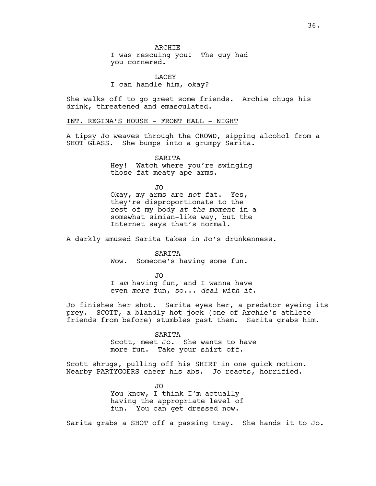I was rescuing you! The guy had you cornered.

LACEY I can handle him, okay?

She walks off to go greet some friends. Archie chugs his drink, threatened and emasculated.

INT. REGINA'S HOUSE - FRONT HALL - NIGHT

A tipsy Jo weaves through the CROWD, sipping alcohol from a SHOT GLASS. She bumps into a grumpy Sarita.

> **SARTTA** Hey! Watch where you're swinging those fat meaty ape arms.

> > JO

Okay, my arms are *not* fat. Yes, they're disproportionate to the rest of my body *at the moment* in a somewhat simian-like way, but the Internet says that's normal.

A darkly amused Sarita takes in Jo's drunkenness.

SARITA Wow. Someone's having some fun.

JO I *am* having fun, and I wanna have even *more* fun, so... *deal with it*.

Jo finishes her shot. Sarita eyes her, a predator eyeing its prey. SCOTT, a blandly hot jock (one of Archie's athlete friends from before) stumbles past them. Sarita grabs him.

#### SARITA

Scott, meet Jo. She wants to have more fun. Take your shirt off.

Scott shrugs, pulling off his SHIRT in one quick motion. Nearby PARTYGOERS cheer his abs. Jo reacts, horrified.

> JO You know, I think I'm actually having the appropriate level of fun. You can get dressed now.

Sarita grabs a SHOT off a passing tray. She hands it to Jo.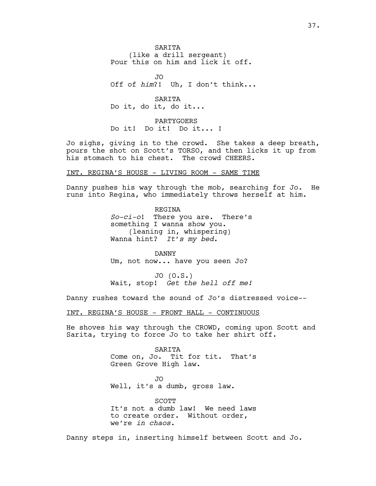**SARTTA** (like a drill sergeant) Pour this on him and lick it off.

JO Off of *him*?! Uh, I don't think...

SARITA Do it, do it, do it...

PARTYGOERS Do it! Do it! Do it... !

Jo sighs, giving in to the crowd. She takes a deep breath, pours the shot on Scott's TORSO, and then licks it up from his stomach to his chest. The crowd CHEERS.

#### INT. REGINA'S HOUSE - LIVING ROOM - SAME TIME

Danny pushes his way through the mob, searching for Jo. He runs into Regina, who immediately throws herself at him.

> REGINA *So-ci-o*! There you are. There's something I wanna show you. (leaning in, whispering) Wanna hint? *It's my bed*.

DANNY Um, not now... have you seen Jo?

JO (O.S.) Wait, stop! *Get the hell off me!*

Danny rushes toward the sound of Jo's distressed voice--

INT. REGINA'S HOUSE - FRONT HALL - CONTINUOUS

He shoves his way through the CROWD, coming upon Scott and Sarita, trying to force Jo to take her shirt off.

> SARITA Come on, Jo. Tit for tit. That's Green Grove High law.

JO Well, it's a dumb, gross law.

SCOTT It's not a dumb law! We need laws to create order. Without order, we're *in chaos*.

Danny steps in, inserting himself between Scott and Jo.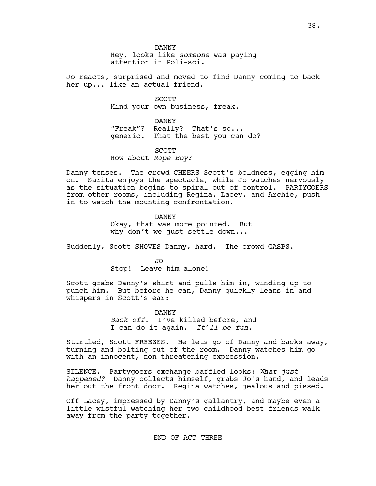DANNY Hey, looks like *someone* was paying attention in Poli-sci.

Jo reacts, surprised and moved to find Danny coming to back her up... like an actual friend.

> SCOTT Mind your own business, freak.

DANNY "Freak"? Really? That's so... generic. That the best you can do?

SCOTT How about *Rope Boy*?

Danny tenses. The crowd CHEERS Scott's boldness, egging him on. Sarita enjoys the spectacle, while Jo watches nervously as the situation begins to spiral out of control. PARTYGOERS from other rooms, including Regina, Lacey, and Archie, push in to watch the mounting confrontation.

> DANNY Okay, that was more pointed. But why don't we just settle down...

Suddenly, Scott SHOVES Danny, hard. The crowd GASPS.

JO Stop! Leave him alone!

Scott grabs Danny's shirt and pulls him in, winding up to punch him. But before he can, Danny quickly leans in and whispers in Scott's ear:

> DANNY *Back off*. I've killed before, and I can do it again. *It'll be fun*.

Startled, Scott FREEZES. He lets go of Danny and backs away, turning and bolting out of the room. Danny watches him go with an innocent, non-threatening expression.

SILENCE. Partygoers exchange baffled looks: *What just happened?* Danny collects himself, grabs Jo's hand, and leads her out the front door. Regina watches, jealous and pissed.

Off Lacey, impressed by Danny's gallantry, and maybe even a little wistful watching her two childhood best friends walk away from the party together.

END OF ACT THREE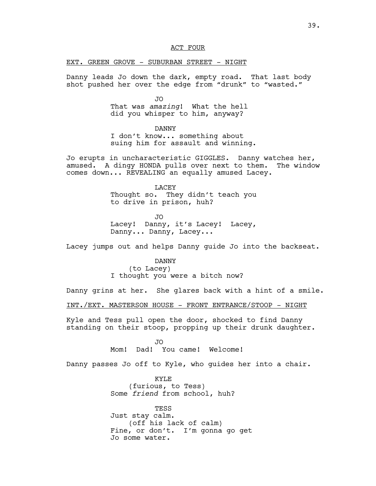## ACT FOUR

## EXT. GREEN GROVE - SUBURBAN STREET - NIGHT

Danny leads Jo down the dark, empty road. That last body shot pushed her over the edge from "drunk" to "wasted."

> JO That was *amazing*! What the hell did you whisper to him, anyway?

> > DANNY

I don't know... something about suing him for assault and winning.

Jo erupts in uncharacteristic GIGGLES. Danny watches her, amused. A dingy HONDA pulls over next to them. The window comes down... REVEALING an equally amused Lacey.

> LACEY Thought so. They didn't teach you to drive in prison, huh?

JO Lacey! Danny, it's Lacey! Lacey, Danny... Danny, Lacey...

Lacey jumps out and helps Danny guide Jo into the backseat.

DANNY

(to Lacey) I thought you were a bitch now?

Danny grins at her. She glares back with a hint of a smile.

INT./EXT. MASTERSON HOUSE - FRONT ENTRANCE/STOOP - NIGHT

Kyle and Tess pull open the door, shocked to find Danny standing on their stoop, propping up their drunk daughter.

> JO Mom! Dad! You came! Welcome!

Danny passes Jo off to Kyle, who guides her into a chair.

KYLE (furious, to Tess) Some *friend* from school, huh?

TESS Just stay calm. (off his lack of calm) Fine, or don't. I'm gonna go get Jo some water.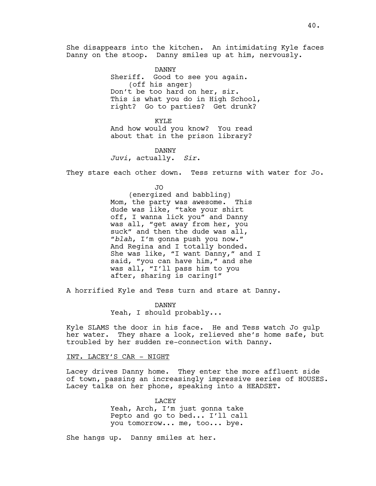She disappears into the kitchen. An intimidating Kyle faces Danny on the stoop. Danny smiles up at him, nervously.

> DANNY Sheriff. Good to see you again. (off his anger) Don't be too hard on her, sir. This is what you do in High School, right? Go to parties? Get drunk?

KYLE And how would you know? You read about that in the prison library?

DANNY *Juvi*, actually. *Sir*.

They stare each other down. Tess returns with water for Jo.

JO (energized and babbling) Mom, the party was awesome. This dude was like, "take your shirt off, I wanna lick you" and Danny was all, "get away from her, you suck" and then the dude was all, "*blah*, I'm gonna push you now." And Regina and I totally bonded. She was like, "I want Danny," and I said, "you can have him," and she was all, "I'll pass him to you after, sharing is caring!"

A horrified Kyle and Tess turn and stare at Danny.

DANNY Yeah, I should probably...

Kyle SLAMS the door in his face. He and Tess watch Jo gulp her water. They share a look, relieved she's home safe, but troubled by her sudden re-connection with Danny.

INT. LACEY'S CAR - NIGHT

Lacey drives Danny home. They enter the more affluent side of town, passing an increasingly impressive series of HOUSES. Lacey talks on her phone, speaking into a HEADSET.

> LACEY Yeah, Arch, I'm just gonna take Pepto and go to bed... I'll call you tomorrow... me, too... bye.

She hangs up. Danny smiles at her.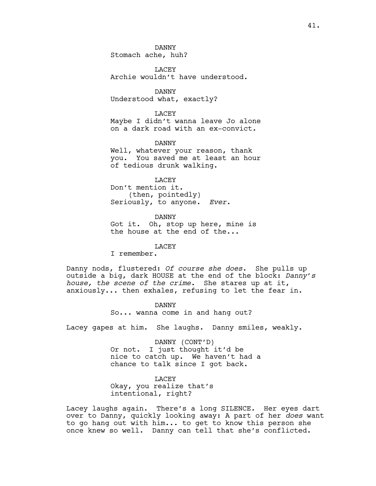DANNY Stomach ache, huh?

LACEY Archie wouldn't have understood.

DANNY Understood what, exactly?

LACEY Maybe I didn't wanna leave Jo alone on a dark road with an ex-convict.

DANNY Well, whatever your reason, thank you. You saved me at least an hour of tedious drunk walking.

LACEY Don't mention it. (then, pointedly) Seriously, to anyone. *Ever*.

DANNY Got it. Oh, stop up here, mine is the house at the end of the...

## LACEY

I remember.

Danny nods, flustered: *Of course she does*. She pulls up outside a big, dark HOUSE at the end of the block: *Danny's house, the scene of the crime*. She stares up at it, anxiously... then exhales, refusing to let the fear in.

> DANNY So... wanna come in and hang out?

Lacey gapes at him. She laughs. Danny smiles, weakly.

DANNY (CONT'D) Or not. I just thought it'd be nice to catch up. We haven't had a chance to talk since I got back.

LACEY Okay, you realize that's intentional, right?

Lacey laughs again. There's a long SILENCE. Her eyes dart over to Danny, quickly looking away: A part of her *does* want to go hang out with him... to get to know this person she once knew so well. Danny can tell that she's conflicted.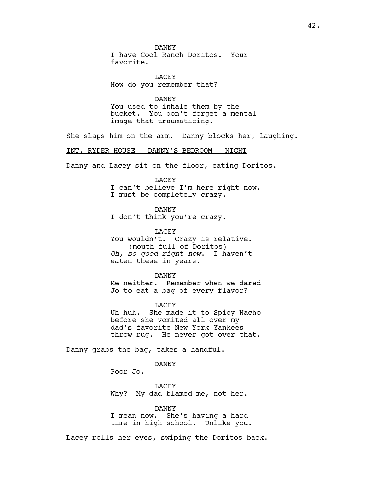DANNY I have Cool Ranch Doritos. Your favorite.

LACEY How do you remember that?

DANNY You used to inhale them by the bucket. You don't forget a mental image that traumatizing.

She slaps him on the arm. Danny blocks her, laughing.

INT. RYDER HOUSE - DANNY'S BEDROOM - NIGHT

Danny and Lacey sit on the floor, eating Doritos.

LACEY

I can't believe I'm here right now.

I must be completely crazy.

DANNY

I don't think you're crazy.

LACEY You wouldn't. Crazy is relative. (mouth full of Doritos) *Oh, so good right now*. I haven't eaten these in years.

DANNY Me neither. Remember when we dared Jo to eat a bag of every flavor?

LACEY Uh-huh. She made it to Spicy Nacho before she vomited all over my dad's favorite New York Yankees throw rug. He never got over that.

Danny grabs the bag, takes a handful.

DANNY

Poor Jo.

LACEY Why? My dad blamed me, not her.

DANNY I mean now. She's having a hard time in high school. Unlike you.

Lacey rolls her eyes, swiping the Doritos back.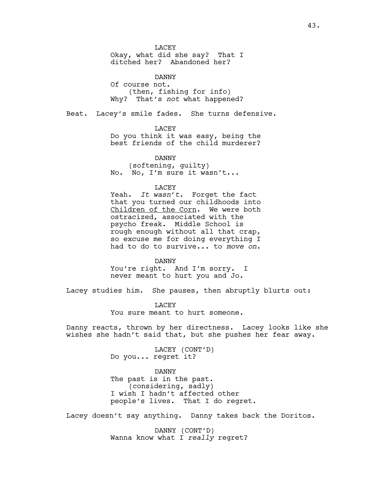LACEY Okay, what did she say? That I ditched her? Abandoned her?

DANNY Of course not. (then, fishing for info) Why? That's *not* what happened?

Beat. Lacey's smile fades. She turns defensive.

LACEY

Do you think it was easy, being the best friends of the child murderer?

DANNY (softening, guilty) No. No, I'm sure it wasn't...

## LACEY

Yeah. *It wasn't*. Forget the fact that you turned our childhoods into Children of the Corn. We were both ostracized, associated with the psycho freak. Middle School is rough enough without all that crap, so excuse me for doing everything I had to do to survive... to *move on*.

DANNY

You're right. And I'm sorry. I never meant to hurt you and Jo.

Lacey studies him. She pauses, then abruptly blurts out:

**LACEY** You sure meant to hurt someone.

Danny reacts, thrown by her directness. Lacey looks like she wishes she hadn't said that, but she pushes her fear away.

> LACEY (CONT'D) Do you... regret it?

DANNY The past is in the past. (considering, sadly) I wish I hadn't affected other people's lives. That I do regret.

Lacey doesn't say anything. Danny takes back the Doritos.

DANNY (CONT'D) Wanna know what I *really* regret?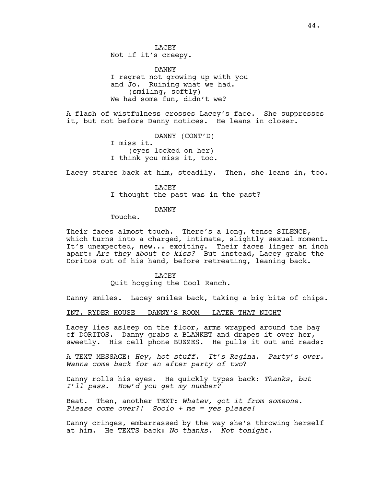**LACEY** Not if it's creepy.

DANNY I regret not growing up with you and Jo. Ruining what we had. (smiling, softly) We had some fun, didn't we?

A flash of wistfulness crosses Lacey's face. She suppresses it, but not before Danny notices. He leans in closer.

> DANNY (CONT'D) I miss it. (eyes locked on her) I think you miss it, too.

Lacey stares back at him, steadily. Then, she leans in, too.

LACEY I thought the past was in the past?

## DANNY

Touche.

Their faces almost touch. There's a long, tense SILENCE, which turns into a charged, intimate, slightly sexual moment. It's unexpected, new... exciting. Their faces linger an inch apart: *Are they about to kiss?* But instead, Lacey grabs the Doritos out of his hand, before retreating, leaning back.

**LACEY** 

Quit hogging the Cool Ranch.

Danny smiles. Lacey smiles back, taking a big bite of chips.

INT. RYDER HOUSE - DANNY'S ROOM - LATER THAT NIGHT

Lacey lies asleep on the floor, arms wrapped around the bag of DORITOS. Danny grabs a BLANKET and drapes it over her, sweetly. His cell phone BUZZES. He pulls it out and reads:

A TEXT MESSAGE: *Hey, hot stuff. It's Regina. Party's over. Wanna come back for an after party of two*?

Danny rolls his eyes. He quickly types back: *Thanks, but I'll pass. How'd you get my number?*

Beat. Then, another TEXT: *Whatev, got it from someone. Please come over?! Socio + me = yes please!*

Danny cringes, embarrassed by the way she's throwing herself at him. He TEXTS back: *No thanks. Not tonight.*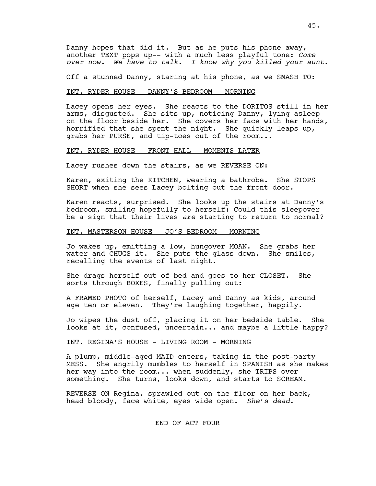Danny hopes that did it. But as he puts his phone away, another TEXT pops up-- with a much less playful tone: *Come over now. We have to talk. I know why you killed your aunt.*

Off a stunned Danny, staring at his phone, as we SMASH TO:

## INT. RYDER HOUSE - DANNY'S BEDROOM - MORNING

Lacey opens her eyes. She reacts to the DORITOS still in her arms, disgusted. She sits up, noticing Danny, lying asleep on the floor beside her. She covers her face with her hands, horrified that she spent the night. She quickly leaps up, grabs her PURSE, and tip-toes out of the room...

#### INT. RYDER HOUSE - FRONT HALL - MOMENTS LATER

Lacey rushes down the stairs, as we REVERSE ON:

Karen, exiting the KITCHEN, wearing a bathrobe. She STOPS SHORT when she sees Lacey bolting out the front door.

Karen reacts, surprised. She looks up the stairs at Danny's bedroom, smiling hopefully to herself: Could this sleepover be a sign that their lives *are* starting to return to normal?

## INT. MASTERSON HOUSE - JO'S BEDROOM - MORNING

Jo wakes up, emitting a low, hungover MOAN. She grabs her water and CHUGS it. She puts the glass down. She smiles, recalling the events of last night.

She drags herself out of bed and goes to her CLOSET. She sorts through BOXES, finally pulling out:

A FRAMED PHOTO of herself, Lacey and Danny as kids, around age ten or eleven. They're laughing together, happily.

Jo wipes the dust off, placing it on her bedside table. She looks at it, confused, uncertain... and maybe a little happy?

## INT. REGINA'S HOUSE - LIVING ROOM - MORNING

A plump, middle-aged MAID enters, taking in the post-party MESS. She angrily mumbles to herself in SPANISH as she makes her way into the room... when suddenly, she TRIPS over something. She turns, looks down, and starts to SCREAM.

REVERSE ON Regina, sprawled out on the floor on her back, head bloody, face white, eyes wide open. *She's dead*.

## END OF ACT FOUR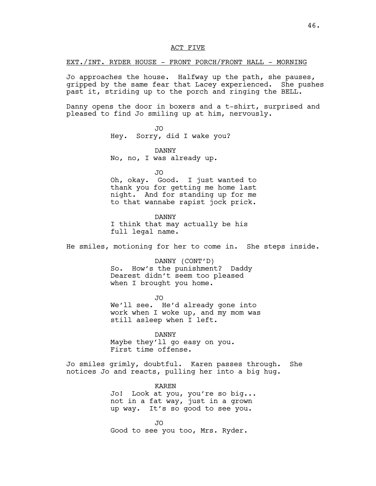## ACT FIVE

## EXT./INT. RYDER HOUSE - FRONT PORCH/FRONT HALL - MORNING

Jo approaches the house. Halfway up the path, she pauses, gripped by the same fear that Lacey experienced. She pushes past it, striding up to the porch and ringing the BELL.

Danny opens the door in boxers and a t-shirt, surprised and pleased to find Jo smiling up at him, nervously.

> JO Hey. Sorry, did I wake you?

DANNY No, no, I was already up.

JO

Oh, okay. Good. I just wanted to thank you for getting me home last night. And for standing up for me to that wannabe rapist jock prick.

DANNY I think that may actually be his full legal name.

He smiles, motioning for her to come in. She steps inside.

DANNY (CONT'D) So. How's the punishment? Daddy Dearest didn't seem too pleased when I brought you home.

JO We'll see. He'd already gone into work when I woke up, and my mom was still asleep when I left.

DANNY Maybe they'll go easy on you. First time offense.

Jo smiles grimly, doubtful. Karen passes through. She notices Jo and reacts, pulling her into a big hug.

> KAREN Jo! Look at you, you're so big... not in a fat way, just in a grown up way. It's so good to see you.

JO Good to see you too, Mrs. Ryder.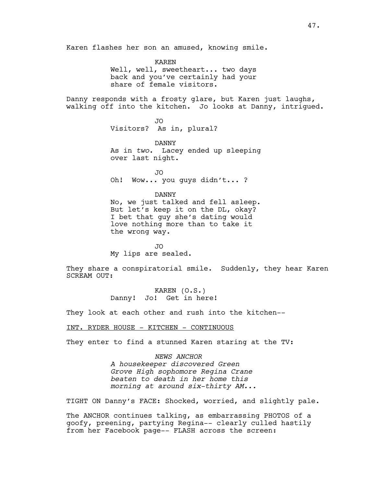Karen flashes her son an amused, knowing smile.

KAREN Well, well, sweetheart... two days back and you've certainly had your share of female visitors.

Danny responds with a frosty glare, but Karen just laughs, walking off into the kitchen. Jo looks at Danny, intrigued.

> JO Visitors? As in, plural?

DANNY As in *two*. Lacey ended up sleeping over last night.

JO Oh! Wow... you guys didn't... ?

DANNY No, we just talked and fell asleep. But let's keep it on the DL, okay? I bet that guy she's dating would love nothing more than to take it the wrong way.

JO My lips are sealed.

They share a conspiratorial smile. Suddenly, they hear Karen SCREAM OUT:

> KAREN (O.S.) Danny! Jo! Get in here!

They look at each other and rush into the kitchen--

INT. RYDER HOUSE - KITCHEN - CONTINUOUS

They enter to find a stunned Karen staring at the TV:

*NEWS ANCHOR A housekeeper discovered Green Grove High sophomore Regina Crane beaten to death in her home this morning at around six-thirty AM...*

TIGHT ON Danny's FACE: Shocked, worried, and slightly pale.

The ANCHOR continues talking, as embarrassing PHOTOS of a goofy, preening, partying Regina-- clearly culled hastily from her Facebook page-- FLASH across the screen: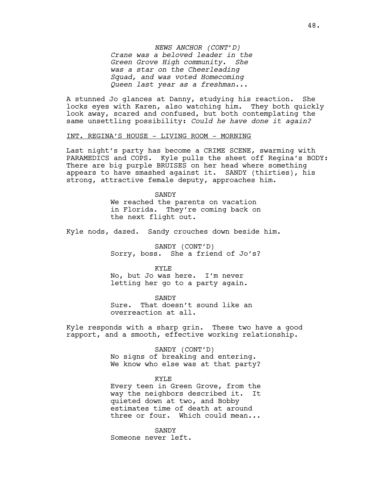*NEWS ANCHOR (CONT'D) Crane was a beloved leader in the Green Grove High community. She was a star on the Cheerleading Squad, and was voted Homecoming Queen last year as a freshman...*

A stunned Jo glances at Danny, studying his reaction. She locks eyes with Karen, also watching him. They both quickly look away, scared and confused, but both contemplating the same unsettling possibility: *Could he have done it again?* 

## INT. REGINA'S HOUSE - LIVING ROOM - MORNING

Last night's party has become a CRIME SCENE, swarming with PARAMEDICS and COPS. Kyle pulls the sheet off Regina's BODY: There are big purple BRUISES on her head where something appears to have smashed against it. SANDY (thirties), his strong, attractive female deputy, approaches him.

> SANDY We reached the parents on vacation in Florida. They're coming back on the next flight out.

Kyle nods, dazed. Sandy crouches down beside him.

SANDY (CONT'D) Sorry, boss. She a friend of Jo's?

KYLE No, but Jo was here. I'm never letting her go to a party again.

SANDY Sure. That doesn't sound like an overreaction at all.

Kyle responds with a sharp grin. These two have a good rapport, and a smooth, effective working relationship.

> SANDY (CONT'D) No signs of breaking and entering. We know who else was at that party?

> KYLE Every teen in Green Grove, from the way the neighbors described it. It quieted down at two, and Bobby estimates time of death at around three or four. Which could mean...

**SANDY** Someone never left.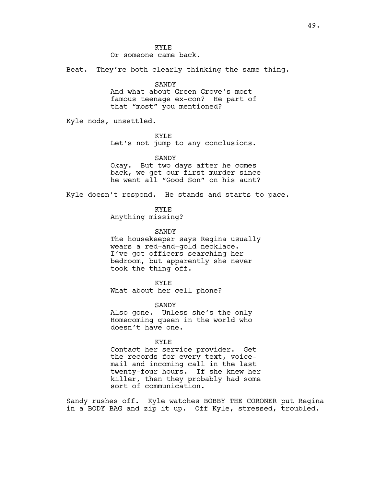Or someone came back.

Beat. They're both clearly thinking the same thing.

## SANDY

And what about Green Grove's most famous teenage ex-con? He part of that "most" you mentioned?

Kyle nods, unsettled.

KYLE

Let's not jump to any conclusions.

SANDY Okay. But two days after he comes back, we get our first murder since

he went all "Good Son" on his aunt?

Kyle doesn't respond. He stands and starts to pace.

KYLE

Anything missing?

SANDY

The housekeeper says Regina usually wears a red-and-gold necklace. I've got officers searching her bedroom, but apparently she never took the thing off.

KYLE What about her cell phone?

SANDY Also gone. Unless she's the only Homecoming queen in the world who doesn't have one.

KYLE

Contact her service provider. Get the records for every text, voicemail and incoming call in the last twenty-four hours. If she knew her killer, then they probably had some sort of communication.

Sandy rushes off. Kyle watches BOBBY THE CORONER put Regina in a BODY BAG and zip it up. Off Kyle, stressed, troubled.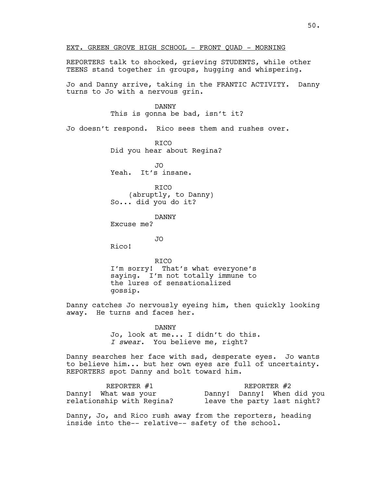REPORTERS talk to shocked, grieving STUDENTS, while other TEENS stand together in groups, hugging and whispering. Jo and Danny arrive, taking in the FRANTIC ACTIVITY. Danny turns to Jo with a nervous grin. DANNY This is gonna be bad, isn't it? Jo doesn't respond. Rico sees them and rushes over. **RTCO** Did you hear about Regina? JO Yeah. It's insane. RICO (abruptly, to Danny) So... did you do it? DANNY Excuse me? JO Rico! RICO I'm sorry! That's what everyone's saying. I'm not totally immune to the lures of sensationalized gossip. Danny catches Jo nervously eyeing him, then quickly looking away. He turns and faces her. DANNY Jo, look at me... I didn't do this. *I swear*. You believe me, right?

EXT. GREEN GROVE HIGH SCHOOL - FRONT QUAD - MORNING

Danny searches her face with sad, desperate eyes. Jo wants to believe him... but her own eyes are full of uncertainty. REPORTERS spot Danny and bolt toward him.

| REPORTER $#1$             | REPORTER $#2$               |
|---------------------------|-----------------------------|
| Danny! What was your      | Danny! Danny! When did you  |
| relationship with Regina? | leave the party last night? |

Danny, Jo, and Rico rush away from the reporters, heading inside into the-- relative-- safety of the school.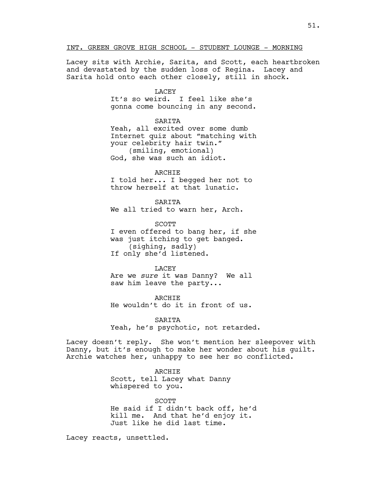INT. GREEN GROVE HIGH SCHOOL - STUDENT LOUNGE - MORNING

Lacey sits with Archie, Sarita, and Scott, each heartbroken and devastated by the sudden loss of Regina. Lacey and Sarita hold onto each other closely, still in shock.

## LACEY

It's so weird. I feel like she's gonna come bouncing in any second.

SARITA

Yeah, all excited over some dumb Internet quiz about "matching with your celebrity hair twin." (smiling, emotional) God, she was such an idiot.

ARCHIE

I told her... I begged her not to throw herself at that lunatic.

SARITA We all tried to warn her, Arch.

**SCOTT** I even offered to bang her, if she was just itching to get banged. (sighing, sadly) If only she'd listened.

#### LACEY

Are we *sure* it was Danny? We all saw him leave the party...

ARCHIE He wouldn't do it in front of us.

**SARTTA** Yeah, he's psychotic, not retarded.

Lacey doesn't reply. She won't mention her sleepover with Danny, but it's enough to make her wonder about his guilt. Archie watches her, unhappy to see her so conflicted.

## ARCHIE

Scott, tell Lacey what Danny whispered to you.

**SCOTT** He said if I didn't back off, he'd kill me. And that he'd enjoy it. Just like he did last time.

Lacey reacts, unsettled.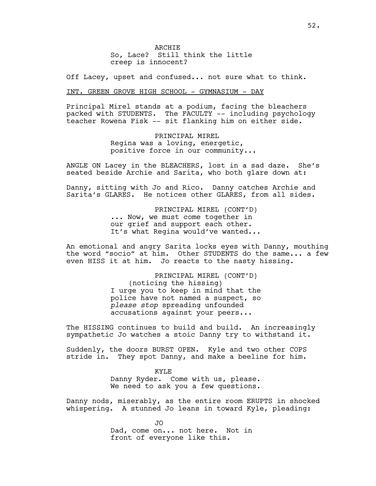ARCHIE So, Lace? Still think the little creep is innocent?

Off Lacey, upset and confused... not sure what to think.

## INT. GREEN GROVE HIGH SCHOOL - GYMNASIUM - DAY

Principal Mirel stands at a podium, facing the bleachers packed with STUDENTS. The FACULTY -- including psychology teacher Rowena Fisk -- sit flanking him on either side.

> PRINCIPAL MIREL Regina was a loving, energetic, positive force in our community...

ANGLE ON Lacey in the BLEACHERS, lost in a sad daze. She's seated beside Archie and Sarita, who both glare down at:

Danny, sitting with Jo and Rico. Danny catches Archie and Sarita's GLARES. He notices other GLARES, from all sides.

> PRINCIPAL MIREL (CONT'D) ... Now, we must come together in our grief and support each other. It's what Regina would've wanted...

An emotional and angry Sarita locks eyes with Danny, mouthing the word "socio" at him. Other STUDENTS do the same... a few even HISS it at him. Jo reacts to the nasty hissing.

> PRINCIPAL MIREL (CONT'D) (noticing the hissing) I urge you to keep in mind that the police have not named a suspect, so *please stop* spreading unfounded accusations against your peers...

The HISSING continues to build and build. An increasingly sympathetic Jo watches a stoic Danny try to withstand it.

Suddenly, the doors BURST OPEN. Kyle and two other COPS stride in. They spot Danny, and make a beeline for him.

> KYLE Danny Ryder. Come with us, please. We need to ask you a few questions.

Danny nods, miserably, as the entire room ERUPTS in shocked whispering. A stunned Jo leans in toward Kyle, pleading:

> JO Dad, come on... not here. Not in front of everyone like this.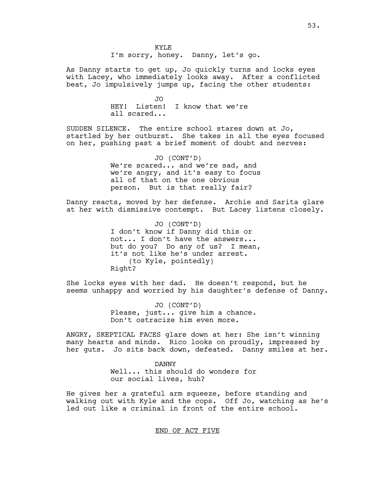KYLE I'm sorry, honey. Danny, let's go.

As Danny starts to get up, Jo quickly turns and locks eyes with Lacey, who immediately looks away. After a conflicted beat, Jo impulsively jumps up, facing the other students:

> JO HEY! Listen! I know that we're all scared...

SUDDEN SILENCE. The entire school stares down at Jo, startled by her outburst. She takes in all the eyes focused on her, pushing past a brief moment of doubt and nerves:

> JO (CONT'D) We're scared... and we're sad, and we're angry, and it's easy to focus all of that on the one obvious person. But is that really fair?

Danny reacts, moved by her defense. Archie and Sarita glare at her with dismissive contempt. But Lacey listens closely.

> JO (CONT'D) I don't know if Danny did this or not... I don't have the answers... but do you? Do any of us? I mean, it's not like he's under arrest. (to Kyle, pointedly) Right?

She locks eyes with her dad. He doesn't respond, but he seems unhappy and worried by his daughter's defense of Danny.

> JO (CONT'D) Please, just... give him a chance. Don't ostracize him even more.

ANGRY, SKEPTICAL FACES glare down at her: She isn't winning many hearts and minds. Rico looks on proudly, impressed by her guts. Jo sits back down, defeated. Danny smiles at her.

> DANNY Well... this should do wonders for our social lives, huh?

He gives her a grateful arm squeeze, before standing and walking out with Kyle and the cops. Off Jo, watching as he's led out like a criminal in front of the entire school.

END OF ACT FIVE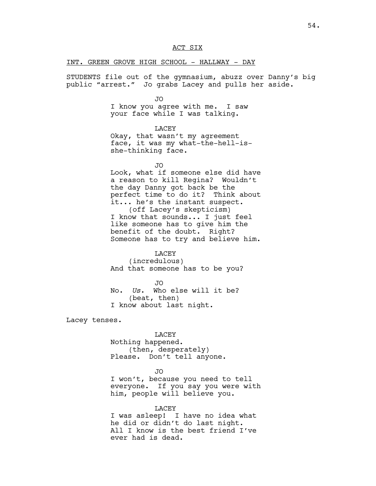INT. GREEN GROVE HIGH SCHOOL - HALLWAY - DAY

STUDENTS file out of the gymnasium, abuzz over Danny's big public "arrest." Jo grabs Lacey and pulls her aside.

JO

I know you agree with me. I saw your face while I was talking.

LACEY Okay, that wasn't my agreement face, it was my what-the-hell-isshe-thinking face.

JO

Look, what if someone else did have a reason to kill Regina? Wouldn't the day Danny got back be the perfect time to do it? Think about it... he's the instant suspect. (off Lacey's skepticism) I know that sounds... I just feel like someone has to give him the benefit of the doubt. Right? Someone has to try and believe him.

LACEY

(incredulous) And that someone has to be you?

JO No. *Us*. Who else will it be? (beat, then) I know about last night.

Lacey tenses.

LACEY Nothing happened. (then, desperately) Please. Don't tell anyone.

JO

I won't, because you need to tell everyone. If you say you were with him, people will believe you.

LACEY

I was asleep! I have no idea what he did or didn't do last night. All I know is the best friend I've ever had is dead.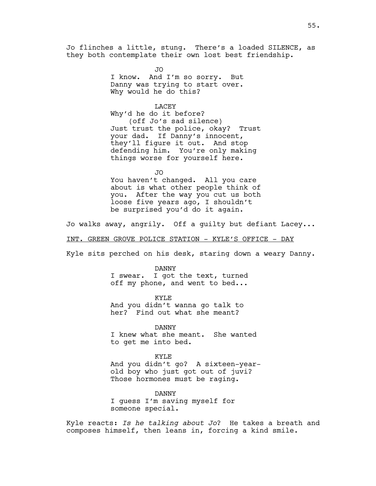Jo flinches a little, stung. There's a loaded SILENCE, as they both contemplate their own lost best friendship.

> JO I know. And I'm so sorry. But Danny was trying to start over. Why would he do this?

LACEY Why'd he do it before? (off Jo's sad silence) Just trust the police, okay? Trust your dad. If Danny's innocent, they'll figure it out. And stop defending him. You're only making things worse for yourself here.

JO You haven't changed. All you care about is what other people think of you. After the way you cut us both loose five years ago, I shouldn't be surprised you'd do it again.

Jo walks away, angrily. Off a guilty but defiant Lacey...

INT. GREEN GROVE POLICE STATION - KYLE'S OFFICE - DAY

Kyle sits perched on his desk, staring down a weary Danny.

DANNY I swear. I got the text, turned off my phone, and went to bed...

KYLE And you didn't wanna go talk to her? Find out what she meant?

DANNY I knew what she meant. She wanted to get me into bed.

KYLE And you didn't go? A sixteen-yearold boy who just got out of juvi? Those hormones must be raging.

DANNY I guess I'm saving myself for someone special.

Kyle reacts: *Is he talking about Jo*? He takes a breath and composes himself, then leans in, forcing a kind smile.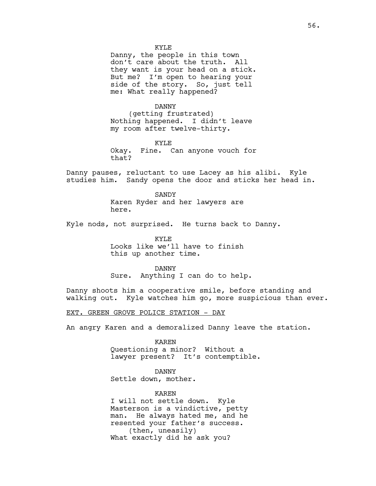Danny, the people in this town don't care about the truth. All they want is your head on a stick. But me? I'm open to hearing your side of the story. So, just tell me: What really happened?

DANNY

(getting frustrated) Nothing happened. I didn't leave my room after twelve-thirty.

KYLE Okay. Fine. Can anyone vouch for that?

Danny pauses, reluctant to use Lacey as his alibi. Kyle studies him. Sandy opens the door and sticks her head in.

> SANDY Karen Ryder and her lawyers are here.

Kyle nods, not surprised. He turns back to Danny.

KYLE Looks like we'll have to finish this up another time.

DANNY Sure. Anything I can do to help.

Danny shoots him a cooperative smile, before standing and walking out. Kyle watches him go, more suspicious than ever.

EXT. GREEN GROVE POLICE STATION - DAY

An angry Karen and a demoralized Danny leave the station.

KAREN Questioning a minor? Without a lawyer present? It's contemptible.

DANNY

Settle down, mother.

KAREN

I will not settle down. Kyle Masterson is a vindictive, petty man. He always hated me, and he resented your father's success. (then, uneasily) What exactly did he ask you?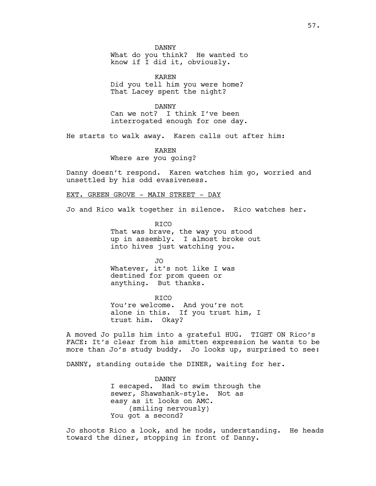DANNY What do you think? He wanted to know if I did it, obviously.

KAREN Did you tell him you were home? That Lacey spent the night?

DANNY Can we not? I think I've been interrogated enough for one day.

He starts to walk away. Karen calls out after him:

KAREN Where are you going?

Danny doesn't respond. Karen watches him go, worried and unsettled by his odd evasiveness.

## EXT. GREEN GROVE - MAIN STREET - DAY

Jo and Rico walk together in silence. Rico watches her.

**RTCO** That was brave, the way you stood up in assembly. I almost broke out into hives just watching you.

JO Whatever, it's not like I was destined for prom queen or anything. But thanks.

RICO You're welcome. And you're not alone in this. If you trust him, I trust him. Okay?

A moved Jo pulls him into a grateful HUG. TIGHT ON Rico's FACE: It's clear from his smitten expression he wants to be more than Jo's study buddy. Jo looks up, surprised to see:

DANNY, standing outside the DINER, waiting for her.

DANNY I escaped. Had to swim through the sewer, Shawshank-style. Not as easy as it looks on AMC. (smiling nervously) You got a second?

Jo shoots Rico a look, and he nods, understanding. He heads toward the diner, stopping in front of Danny.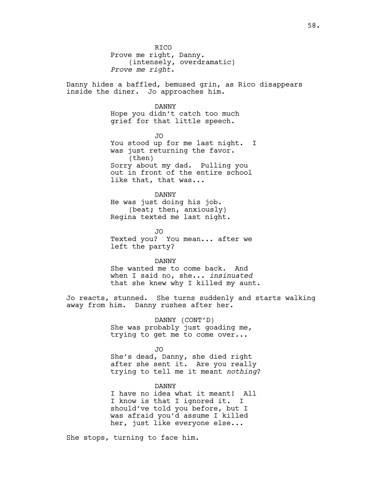**RTCO** Prove me right, Danny. (intensely, overdramatic) *Prove me right.*

Danny hides a baffled, bemused grin, as Rico disappears inside the diner. Jo approaches him.

## DANNY

Hope you didn't catch too much grief for that little speech.

JO You stood up for me last night. I was just returning the favor. (then) Sorry about my dad. Pulling you out in front of the entire school like that, that was...

DANNY He was just doing his job. (beat; then, anxiously) Regina texted me last night.

JO Texted you? You mean... after we left the party?

DANNY

She wanted me to come back. And when I said no, she... *insinuated* that she knew why I killed my aunt.

Jo reacts, stunned. She turns suddenly and starts walking away from him. Danny rushes after her.

> DANNY (CONT'D) She was probably just goading me, trying to get me to come over...

> > JO

She's dead, Danny, she died right after she sent it. Are you really trying to tell me it meant *nothing*?

DANNY

I have no idea what it meant! All I know is that I ignored it. I should've told you before, but I was afraid you'd assume I killed her, just like everyone else...

She stops, turning to face him.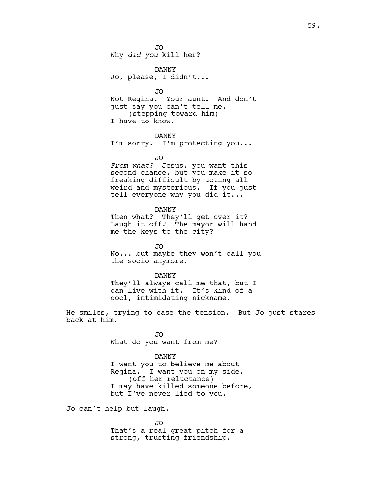JO Why *did you* kill her?

DANNY Jo, please, I didn't...

JO Not Regina. Your aunt. And don't just say you can't tell me. (stepping toward him) I have to know.

DANNY I'm sorry. I'm protecting you...

JO

*From what?* Jesus, you want this second chance, but you make it so freaking difficult by acting all weird and mysterious. If you just tell everyone why you did it...

DANNY Then what? They'll get over it? Laugh it off? The mayor will hand me the keys to the city?

JO No... but maybe they won't call you the socio anymore.

DANNY They'll always call me that, but I can live with it. It's kind of a cool, intimidating nickname.

He smiles, trying to ease the tension. But Jo just stares back at him.

> JO What do you want from me?

DANNY I want you to believe me about Regina. I want you on my side. (off her reluctance) I may have killed someone before, but I've never lied to you.

Jo can't help but laugh.

JO That's a real great pitch for a strong, trusting friendship.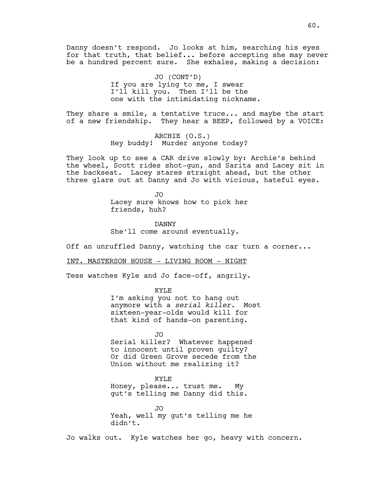Danny doesn't respond. Jo looks at him, searching his eyes for that truth, that belief... before accepting she may never be a hundred percent sure. She exhales, making a decision:

> JO (CONT'D) If you are lying to me, I swear I'll kill you. Then I'll be the one with the intimidating nickname.

They share a smile, a tentative truce... and maybe the start of a new friendship. They hear a BEEP, followed by a VOICE:

> ARCHIE (O.S.) Hey buddy! Murder anyone today?

They look up to see a CAR drive slowly by: Archie's behind the wheel, Scott rides shot-gun, and Sarita and Lacey sit in the backseat. Lacey stares straight ahead, but the other three glare out at Danny and Jo with vicious, hateful eyes.

> JO Lacey sure knows how to pick her friends, huh?

DANNY She'll come around eventually.

Off an unruffled Danny, watching the car turn a corner...

INT. MASTERSON HOUSE - LIVING ROOM - NIGHT

Tess watches Kyle and Jo face-off, angrily.

KYLE

I'm asking you not to hang out anymore with a *serial killer.* Most sixteen-year-olds would kill for that kind of hands-on parenting.

JO Serial killer? Whatever happened to innocent until proven guilty? Or did Green Grove secede from the Union without me realizing it?

KYLE Honey, please... trust me. My gut's telling me Danny did this.

JO Yeah, well my gut's telling me he didn't.

Jo walks out. Kyle watches her go, heavy with concern.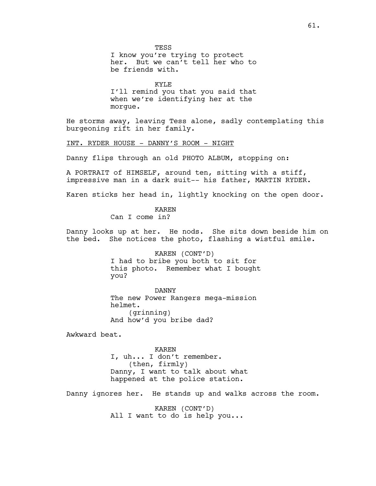KYLE I'll remind you that you said that when we're identifying her at the morgue.

He storms away, leaving Tess alone, sadly contemplating this burgeoning rift in her family.

INT. RYDER HOUSE - DANNY'S ROOM - NIGHT

Danny flips through an old PHOTO ALBUM, stopping on:

A PORTRAIT of HIMSELF, around ten, sitting with a stiff, impressive man in a dark suit-- his father, MARTIN RYDER.

Karen sticks her head in, lightly knocking on the open door.

KAREN Can I come in?

Danny looks up at her. He nods. She sits down beside him on the bed. She notices the photo, flashing a wistful smile.

> KAREN (CONT'D) I had to bribe you both to sit for this photo. Remember what I bought you?

DANNY The new Power Rangers mega-mission helmet. (grinning) And how'd you bribe dad?

Awkward beat.

KAREN I, uh... I don't remember. (then, firmly) Danny, I want to talk about what happened at the police station.

Danny ignores her. He stands up and walks across the room.

KAREN (CONT'D) All I want to do is help you...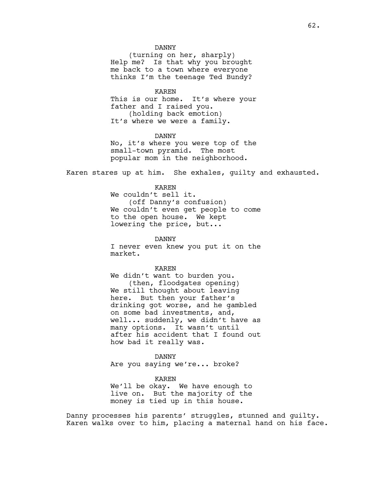## DANNY

(turning on her, sharply) Help me? Is that why you brought me back to a town where everyone thinks I'm the teenage Ted Bundy?

KAREN

This is our home. It's where your father and I raised you. (holding back emotion) It's where we were a family.

## DANNY

No, it's where you were top of the small-town pyramid. The most popular mom in the neighborhood.

Karen stares up at him. She exhales, guilty and exhausted.

## KAREN

We couldn't sell it. (off Danny's confusion) We couldn't even get people to come to the open house. We kept lowering the price, but...

DANNY I never even knew you put it on the market.

## KAREN

We didn't want to burden you. (then, floodgates opening) We still thought about leaving here. But then your father's drinking got worse, and he gambled on some bad investments, and, well... suddenly, we didn't have as many options. It wasn't until after his accident that I found out how bad it really was.

DANNY

Are you saying we're... broke?

KAREN

We'll be okay. We have enough to live on. But the majority of the money is tied up in this house.

Danny processes his parents' struggles, stunned and guilty. Karen walks over to him, placing a maternal hand on his face.